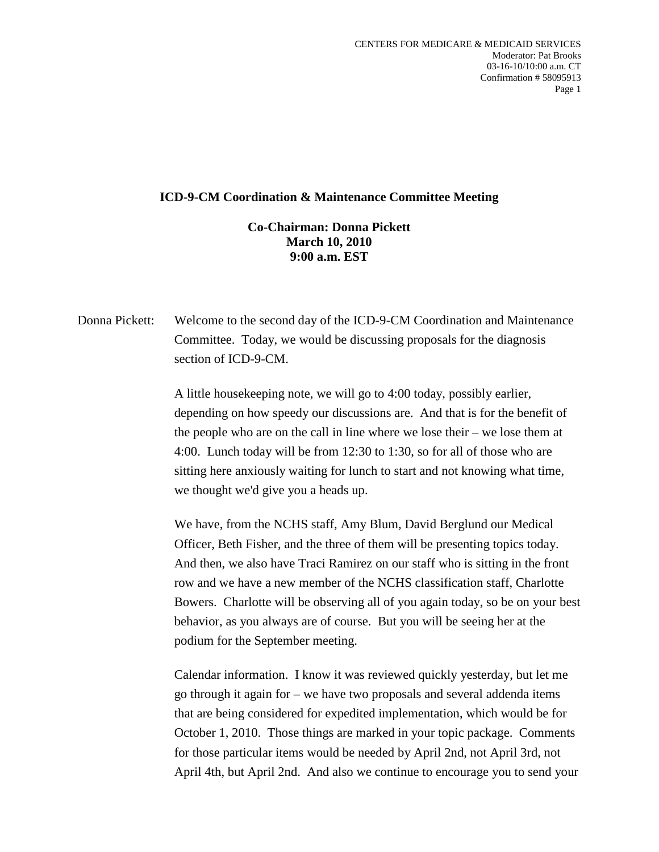## **ICD-9-CM Coordination & Maintenance Committee Meeting**

## **Co-Chairman: Donna Pickett March 10, 2010 9:00 a.m. EST**

Donna Pickett: Welcome to the second day of the ICD-9-CM Coordination and Maintenance Committee. Today, we would be discussing proposals for the diagnosis section of ICD-9-CM.

> A little housekeeping note, we will go to 4:00 today, possibly earlier, depending on how speedy our discussions are. And that is for the benefit of the people who are on the call in line where we lose their – we lose them at 4:00. Lunch today will be from 12:30 to 1:30, so for all of those who are sitting here anxiously waiting for lunch to start and not knowing what time, we thought we'd give you a heads up.

We have, from the NCHS staff, Amy Blum, David Berglund our Medical Officer, Beth Fisher, and the three of them will be presenting topics today. And then, we also have Traci Ramirez on our staff who is sitting in the front row and we have a new member of the NCHS classification staff, Charlotte Bowers. Charlotte will be observing all of you again today, so be on your best behavior, as you always are of course. But you will be seeing her at the podium for the September meeting.

Calendar information. I know it was reviewed quickly yesterday, but let me go through it again for – we have two proposals and several addenda items that are being considered for expedited implementation, which would be for October 1, 2010. Those things are marked in your topic package. Comments for those particular items would be needed by April 2nd, not April 3rd, not April 4th, but April 2nd. And also we continue to encourage you to send your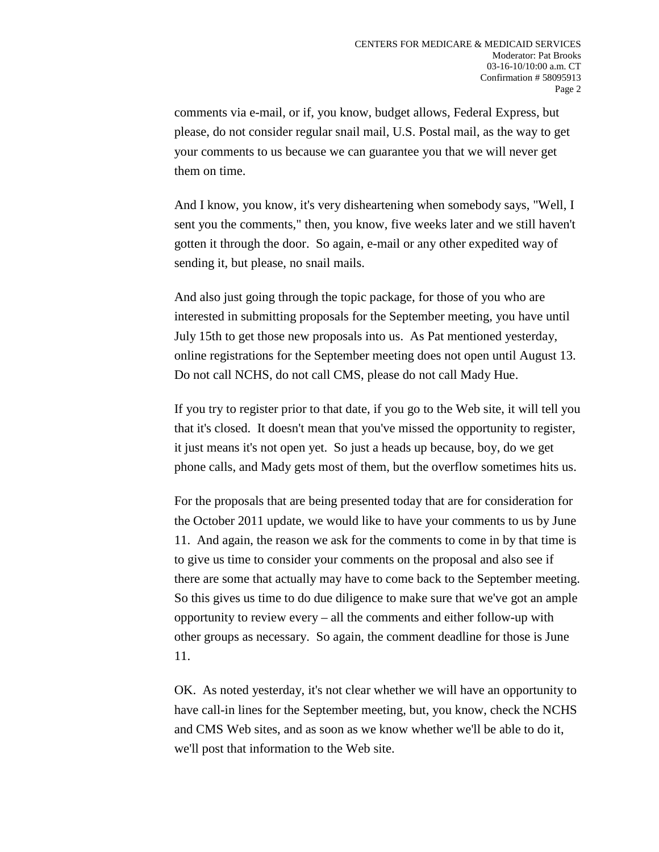comments via e-mail, or if, you know, budget allows, Federal Express, but please, do not consider regular snail mail, U.S. Postal mail, as the way to get your comments to us because we can guarantee you that we will never get them on time.

And I know, you know, it's very disheartening when somebody says, "Well, I sent you the comments," then, you know, five weeks later and we still haven't gotten it through the door. So again, e-mail or any other expedited way of sending it, but please, no snail mails.

And also just going through the topic package, for those of you who are interested in submitting proposals for the September meeting, you have until July 15th to get those new proposals into us. As Pat mentioned yesterday, online registrations for the September meeting does not open until August 13. Do not call NCHS, do not call CMS, please do not call Mady Hue.

If you try to register prior to that date, if you go to the Web site, it will tell you that it's closed. It doesn't mean that you've missed the opportunity to register, it just means it's not open yet. So just a heads up because, boy, do we get phone calls, and Mady gets most of them, but the overflow sometimes hits us.

For the proposals that are being presented today that are for consideration for the October 2011 update, we would like to have your comments to us by June 11. And again, the reason we ask for the comments to come in by that time is to give us time to consider your comments on the proposal and also see if there are some that actually may have to come back to the September meeting. So this gives us time to do due diligence to make sure that we've got an ample opportunity to review every – all the comments and either follow-up with other groups as necessary. So again, the comment deadline for those is June 11.

OK. As noted yesterday, it's not clear whether we will have an opportunity to have call-in lines for the September meeting, but, you know, check the NCHS and CMS Web sites, and as soon as we know whether we'll be able to do it, we'll post that information to the Web site.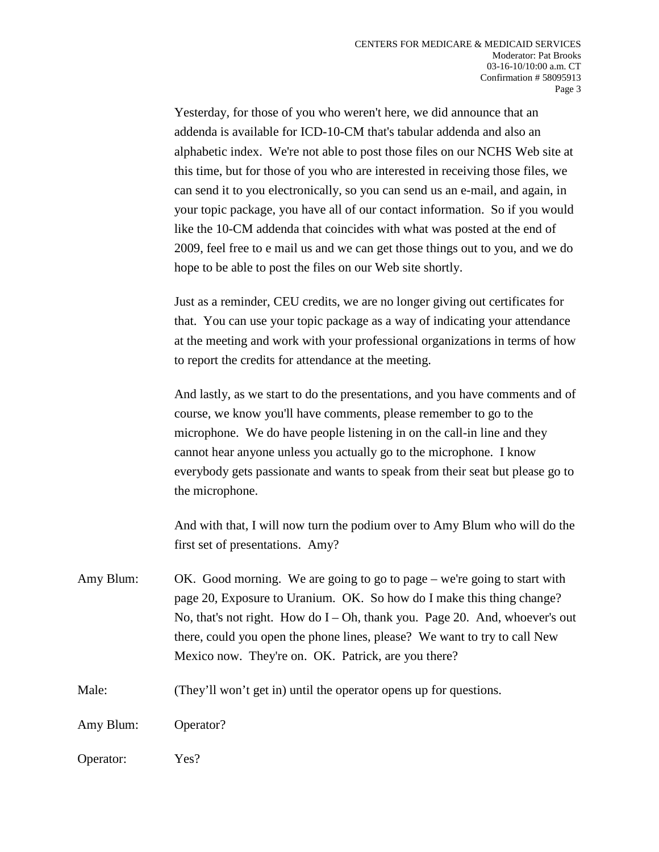Yesterday, for those of you who weren't here, we did announce that an addenda is available for ICD-10-CM that's tabular addenda and also an alphabetic index. We're not able to post those files on our NCHS Web site at this time, but for those of you who are interested in receiving those files, we can send it to you electronically, so you can send us an e-mail, and again, in your topic package, you have all of our contact information. So if you would like the 10-CM addenda that coincides with what was posted at the end of 2009, feel free to e mail us and we can get those things out to you, and we do hope to be able to post the files on our Web site shortly.

Just as a reminder, CEU credits, we are no longer giving out certificates for that. You can use your topic package as a way of indicating your attendance at the meeting and work with your professional organizations in terms of how to report the credits for attendance at the meeting.

And lastly, as we start to do the presentations, and you have comments and of course, we know you'll have comments, please remember to go to the microphone. We do have people listening in on the call-in line and they cannot hear anyone unless you actually go to the microphone. I know everybody gets passionate and wants to speak from their seat but please go to the microphone.

And with that, I will now turn the podium over to Amy Blum who will do the first set of presentations. Amy?

- Amy Blum: OK. Good morning. We are going to go to page we're going to start with page 20, Exposure to Uranium. OK. So how do I make this thing change? No, that's not right. How do  $I - Oh$ , thank you. Page 20. And, whoever's out there, could you open the phone lines, please? We want to try to call New Mexico now. They're on. OK. Patrick, are you there?
- Male: (They'll won't get in) until the operator opens up for questions.

Amy Blum: Operator?

Operator: Yes?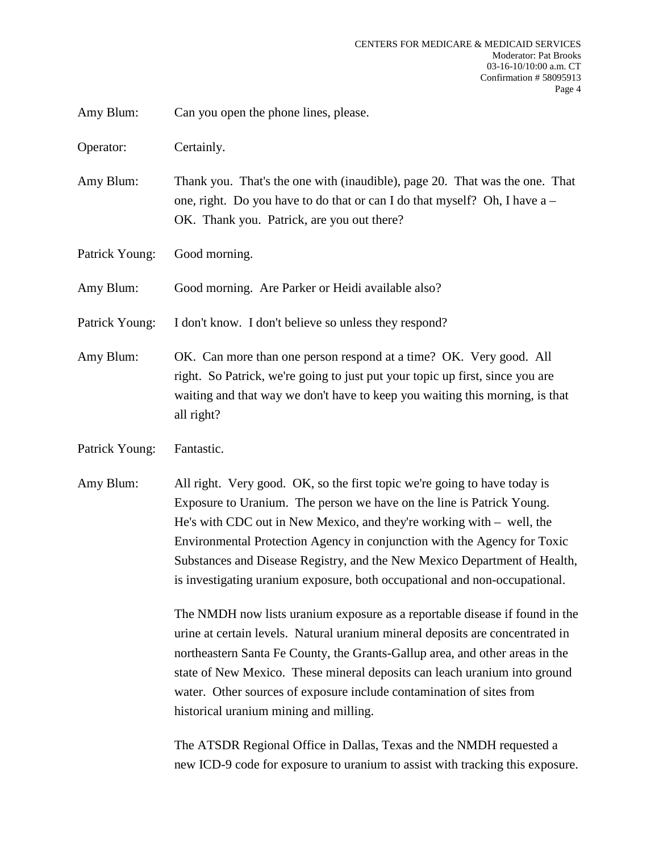Amy Blum: Can you open the phone lines, please.

Operator: Certainly.

Amy Blum: Thank you. That's the one with (inaudible), page 20. That was the one. That one, right. Do you have to do that or can I do that myself? Oh, I have a – OK. Thank you. Patrick, are you out there?

Patrick Young: Good morning.

Amy Blum: Good morning. Are Parker or Heidi available also?

Patrick Young: I don't know. I don't believe so unless they respond?

Amy Blum: OK. Can more than one person respond at a time? OK. Very good. All right. So Patrick, we're going to just put your topic up first, since you are waiting and that way we don't have to keep you waiting this morning, is that all right?

Patrick Young: Fantastic.

Amy Blum: All right. Very good. OK, so the first topic we're going to have today is Exposure to Uranium. The person we have on the line is Patrick Young. He's with CDC out in New Mexico, and they're working with – well, the Environmental Protection Agency in conjunction with the Agency for Toxic Substances and Disease Registry, and the New Mexico Department of Health, is investigating uranium exposure, both occupational and non-occupational.

> The NMDH now lists uranium exposure as a reportable disease if found in the urine at certain levels. Natural uranium mineral deposits are concentrated in northeastern Santa Fe County, the Grants-Gallup area, and other areas in the state of New Mexico. These mineral deposits can leach uranium into ground water. Other sources of exposure include contamination of sites from historical uranium mining and milling.

> The ATSDR Regional Office in Dallas, Texas and the NMDH requested a new ICD-9 code for exposure to uranium to assist with tracking this exposure.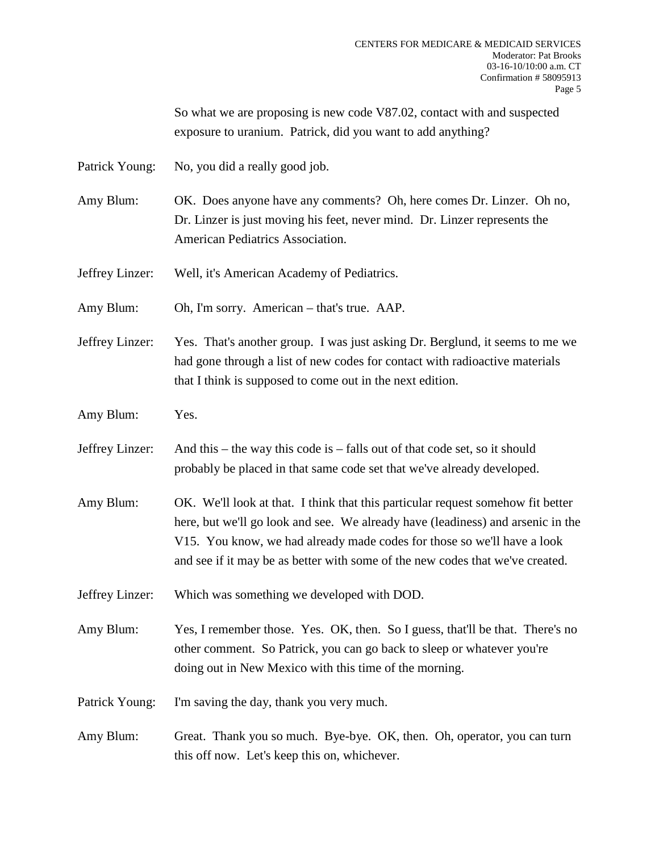So what we are proposing is new code V87.02, contact with and suspected exposure to uranium. Patrick, did you want to add anything?

Patrick Young: No, you did a really good job.

Amy Blum: OK. Does anyone have any comments? Oh, here comes Dr. Linzer. Oh no, Dr. Linzer is just moving his feet, never mind. Dr. Linzer represents the American Pediatrics Association.

Jeffrey Linzer: Well, it's American Academy of Pediatrics.

Amy Blum: Oh, I'm sorry. American – that's true. AAP.

Jeffrey Linzer: Yes. That's another group. I was just asking Dr. Berglund, it seems to me we had gone through a list of new codes for contact with radioactive materials that I think is supposed to come out in the next edition.

Amy Blum: Yes.

Jeffrey Linzer: And this – the way this code is – falls out of that code set, so it should probably be placed in that same code set that we've already developed.

Amy Blum: OK. We'll look at that. I think that this particular request somehow fit better here, but we'll go look and see. We already have (leadiness) and arsenic in the V15. You know, we had already made codes for those so we'll have a look and see if it may be as better with some of the new codes that we've created.

Jeffrey Linzer: Which was something we developed with DOD.

Amy Blum: Yes, I remember those. Yes. OK, then. So I guess, that'll be that. There's no other comment. So Patrick, you can go back to sleep or whatever you're doing out in New Mexico with this time of the morning.

Patrick Young: I'm saving the day, thank you very much.

Amy Blum: Great. Thank you so much. Bye-bye. OK, then. Oh, operator, you can turn this off now. Let's keep this on, whichever.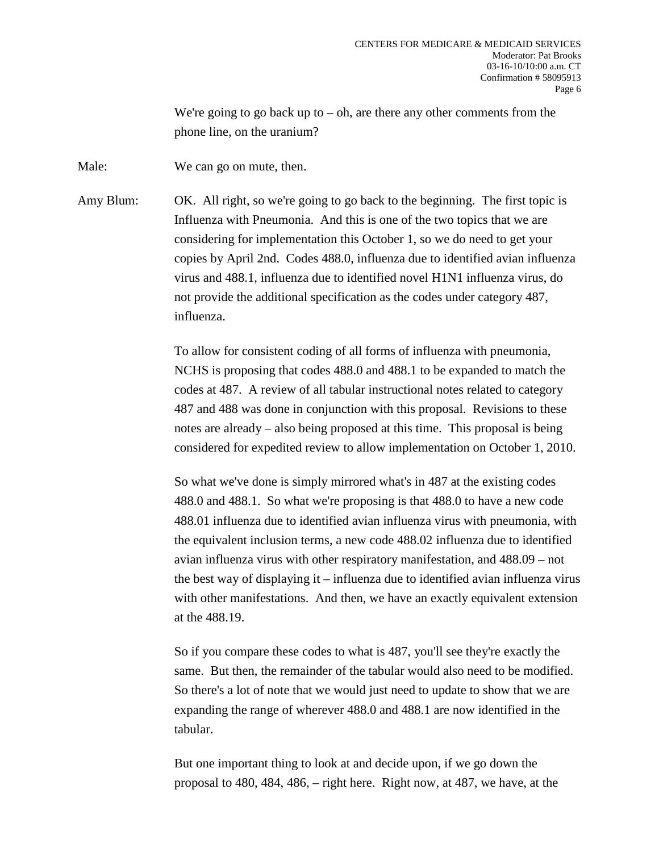We're going to go back up to  $-$  oh, are there any other comments from the phone line, on the uranium?

Male: We can go on mute, then.

Amy Blum: OK. All right, so we're going to go back to the beginning. The first topic is Influenza with Pneumonia. And this is one of the two topics that we are considering for implementation this October 1, so we do need to get your copies by April 2nd. Codes 488.0, influenza due to identified avian influenza virus and 488.1, influenza due to identified novel H1N1 influenza virus, do not provide the additional specification as the codes under category 487, influenza.

> To allow for consistent coding of all forms of influenza with pneumonia, NCHS is proposing that codes 488.0 and 488.1 to be expanded to match the codes at 487. A review of all tabular instructional notes related to category 487 and 488 was done in conjunction with this proposal. Revisions to these notes are already – also being proposed at this time. This proposal is being considered for expedited review to allow implementation on October 1, 2010.

So what we've done is simply mirrored what's in 487 at the existing codes 488.0 and 488.1. So what we're proposing is that 488.0 to have a new code 488.01 influenza due to identified avian influenza virus with pneumonia, with the equivalent inclusion terms, a new code 488.02 influenza due to identified avian influenza virus with other respiratory manifestation, and 488.09 – not the best way of displaying it – influenza due to identified avian influenza virus with other manifestations. And then, we have an exactly equivalent extension at the 488.19.

So if you compare these codes to what is 487, you'll see they're exactly the same. But then, the remainder of the tabular would also need to be modified. So there's a lot of note that we would just need to update to show that we are expanding the range of wherever 488.0 and 488.1 are now identified in the tabular.

But one important thing to look at and decide upon, if we go down the proposal to 480, 484, 486, – right here. Right now, at 487, we have, at the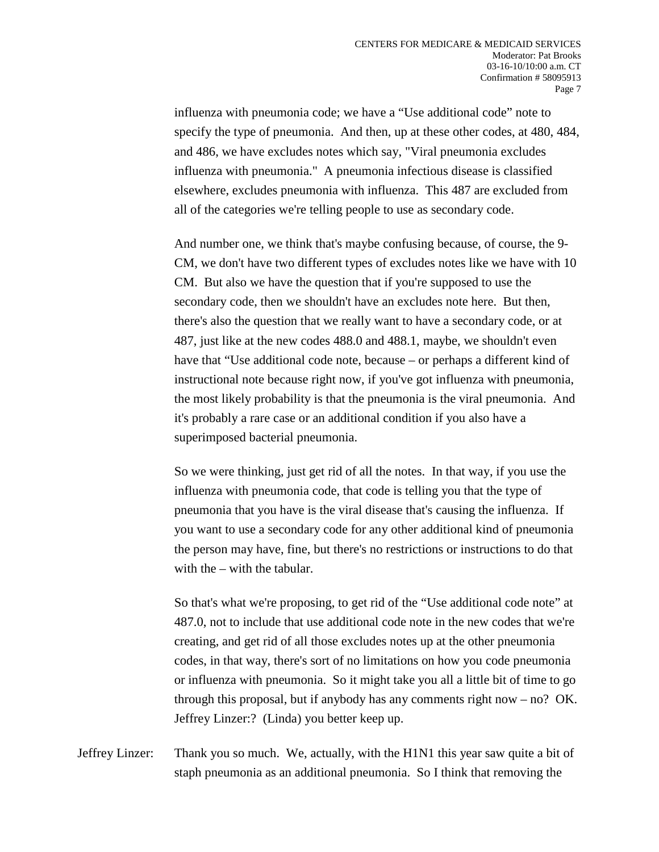influenza with pneumonia code; we have a "Use additional code" note to specify the type of pneumonia. And then, up at these other codes, at 480, 484, and 486, we have excludes notes which say, "Viral pneumonia excludes influenza with pneumonia." A pneumonia infectious disease is classified elsewhere, excludes pneumonia with influenza. This 487 are excluded from all of the categories we're telling people to use as secondary code.

And number one, we think that's maybe confusing because, of course, the 9- CM, we don't have two different types of excludes notes like we have with 10 CM. But also we have the question that if you're supposed to use the secondary code, then we shouldn't have an excludes note here. But then, there's also the question that we really want to have a secondary code, or at 487, just like at the new codes 488.0 and 488.1, maybe, we shouldn't even have that "Use additional code note, because – or perhaps a different kind of instructional note because right now, if you've got influenza with pneumonia, the most likely probability is that the pneumonia is the viral pneumonia. And it's probably a rare case or an additional condition if you also have a superimposed bacterial pneumonia.

So we were thinking, just get rid of all the notes. In that way, if you use the influenza with pneumonia code, that code is telling you that the type of pneumonia that you have is the viral disease that's causing the influenza. If you want to use a secondary code for any other additional kind of pneumonia the person may have, fine, but there's no restrictions or instructions to do that with the – with the tabular.

So that's what we're proposing, to get rid of the "Use additional code note" at 487.0, not to include that use additional code note in the new codes that we're creating, and get rid of all those excludes notes up at the other pneumonia codes, in that way, there's sort of no limitations on how you code pneumonia or influenza with pneumonia. So it might take you all a little bit of time to go through this proposal, but if anybody has any comments right now – no? OK. Jeffrey Linzer:? (Linda) you better keep up.

Jeffrey Linzer: Thank you so much. We, actually, with the H1N1 this year saw quite a bit of staph pneumonia as an additional pneumonia. So I think that removing the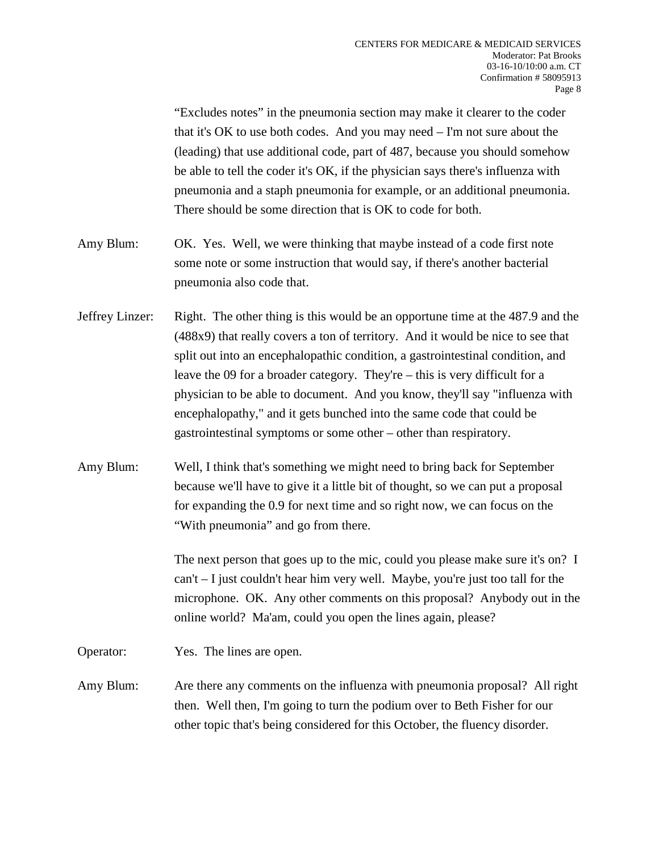"Excludes notes" in the pneumonia section may make it clearer to the coder that it's OK to use both codes. And you may need – I'm not sure about the (leading) that use additional code, part of 487, because you should somehow be able to tell the coder it's OK, if the physician says there's influenza with pneumonia and a staph pneumonia for example, or an additional pneumonia. There should be some direction that is OK to code for both.

- Amy Blum: OK. Yes. Well, we were thinking that maybe instead of a code first note some note or some instruction that would say, if there's another bacterial pneumonia also code that.
- Jeffrey Linzer: Right. The other thing is this would be an opportune time at the 487.9 and the (488x9) that really covers a ton of territory. And it would be nice to see that split out into an encephalopathic condition, a gastrointestinal condition, and leave the 09 for a broader category. They're – this is very difficult for a physician to be able to document. And you know, they'll say "influenza with encephalopathy," and it gets bunched into the same code that could be gastrointestinal symptoms or some other – other than respiratory.
- Amy Blum: Well, I think that's something we might need to bring back for September because we'll have to give it a little bit of thought, so we can put a proposal for expanding the 0.9 for next time and so right now, we can focus on the "With pneumonia" and go from there.

The next person that goes up to the mic, could you please make sure it's on? I can't – I just couldn't hear him very well. Maybe, you're just too tall for the microphone. OK. Any other comments on this proposal? Anybody out in the online world? Ma'am, could you open the lines again, please?

Operator: Yes. The lines are open.

Amy Blum: Are there any comments on the influenza with pneumonia proposal? All right then. Well then, I'm going to turn the podium over to Beth Fisher for our other topic that's being considered for this October, the fluency disorder.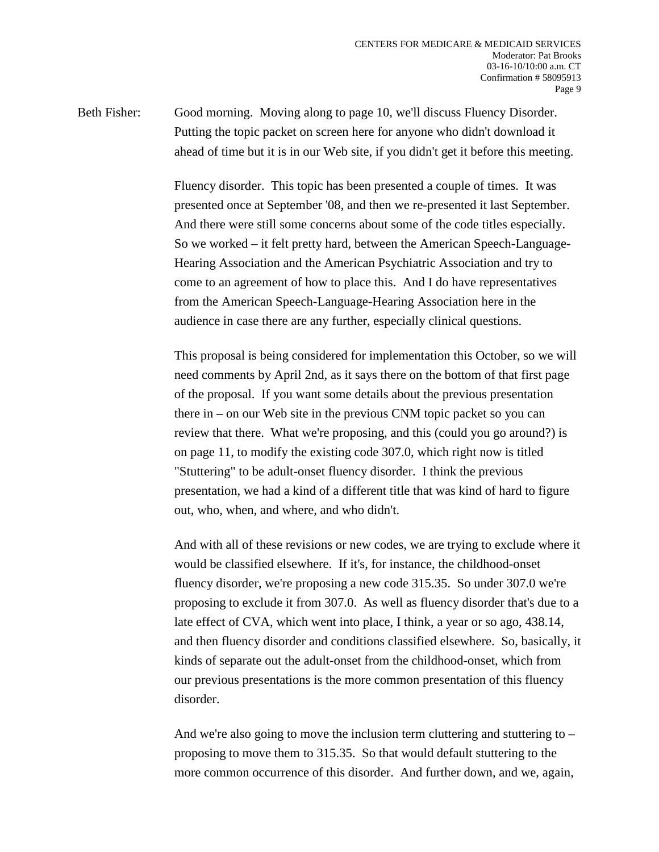Beth Fisher: Good morning. Moving along to page 10, we'll discuss Fluency Disorder. Putting the topic packet on screen here for anyone who didn't download it ahead of time but it is in our Web site, if you didn't get it before this meeting.

> Fluency disorder. This topic has been presented a couple of times. It was presented once at September '08, and then we re-presented it last September. And there were still some concerns about some of the code titles especially. So we worked – it felt pretty hard, between the American Speech-Language-Hearing Association and the American Psychiatric Association and try to come to an agreement of how to place this. And I do have representatives from the American Speech-Language-Hearing Association here in the audience in case there are any further, especially clinical questions.

This proposal is being considered for implementation this October, so we will need comments by April 2nd, as it says there on the bottom of that first page of the proposal. If you want some details about the previous presentation there in – on our Web site in the previous CNM topic packet so you can review that there. What we're proposing, and this (could you go around?) is on page 11, to modify the existing code 307.0, which right now is titled "Stuttering" to be adult-onset fluency disorder. I think the previous presentation, we had a kind of a different title that was kind of hard to figure out, who, when, and where, and who didn't.

And with all of these revisions or new codes, we are trying to exclude where it would be classified elsewhere. If it's, for instance, the childhood-onset fluency disorder, we're proposing a new code 315.35. So under 307.0 we're proposing to exclude it from 307.0. As well as fluency disorder that's due to a late effect of CVA, which went into place, I think, a year or so ago, 438.14, and then fluency disorder and conditions classified elsewhere. So, basically, it kinds of separate out the adult-onset from the childhood-onset, which from our previous presentations is the more common presentation of this fluency disorder.

And we're also going to move the inclusion term cluttering and stuttering to – proposing to move them to 315.35. So that would default stuttering to the more common occurrence of this disorder. And further down, and we, again,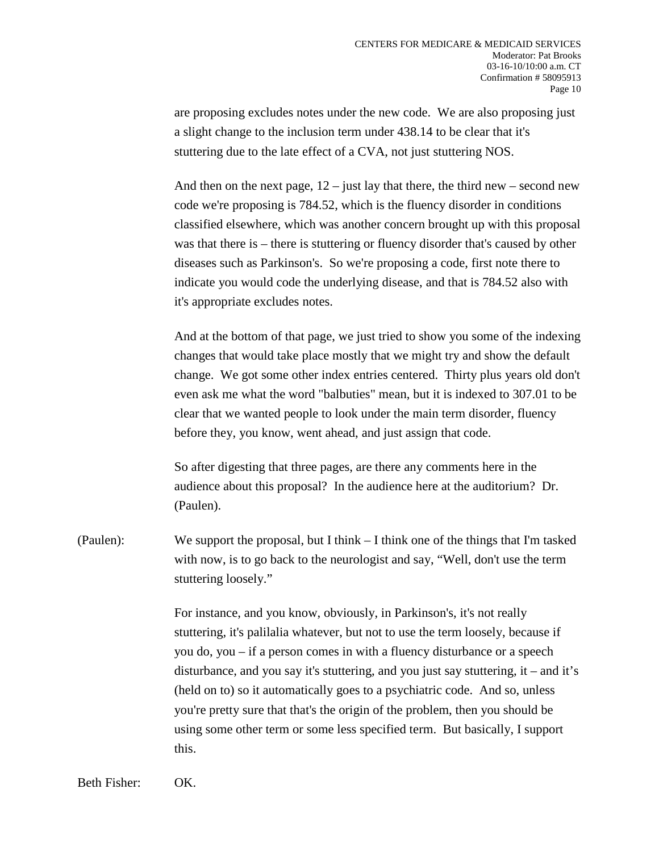are proposing excludes notes under the new code. We are also proposing just a slight change to the inclusion term under 438.14 to be clear that it's stuttering due to the late effect of a CVA, not just stuttering NOS.

And then on the next page,  $12 -$  just lay that there, the third new – second new code we're proposing is 784.52, which is the fluency disorder in conditions classified elsewhere, which was another concern brought up with this proposal was that there is – there is stuttering or fluency disorder that's caused by other diseases such as Parkinson's. So we're proposing a code, first note there to indicate you would code the underlying disease, and that is 784.52 also with it's appropriate excludes notes.

And at the bottom of that page, we just tried to show you some of the indexing changes that would take place mostly that we might try and show the default change. We got some other index entries centered. Thirty plus years old don't even ask me what the word "balbuties" mean, but it is indexed to 307.01 to be clear that we wanted people to look under the main term disorder, fluency before they, you know, went ahead, and just assign that code.

So after digesting that three pages, are there any comments here in the audience about this proposal? In the audience here at the auditorium? Dr. (Paulen).

(Paulen): We support the proposal, but I think – I think one of the things that I'm tasked with now, is to go back to the neurologist and say, "Well, don't use the term stuttering loosely."

> For instance, and you know, obviously, in Parkinson's, it's not really stuttering, it's palilalia whatever, but not to use the term loosely, because if you do, you – if a person comes in with a fluency disturbance or a speech disturbance, and you say it's stuttering, and you just say stuttering, it – and it's (held on to) so it automatically goes to a psychiatric code. And so, unless you're pretty sure that that's the origin of the problem, then you should be using some other term or some less specified term. But basically, I support this.

Beth Fisher: OK.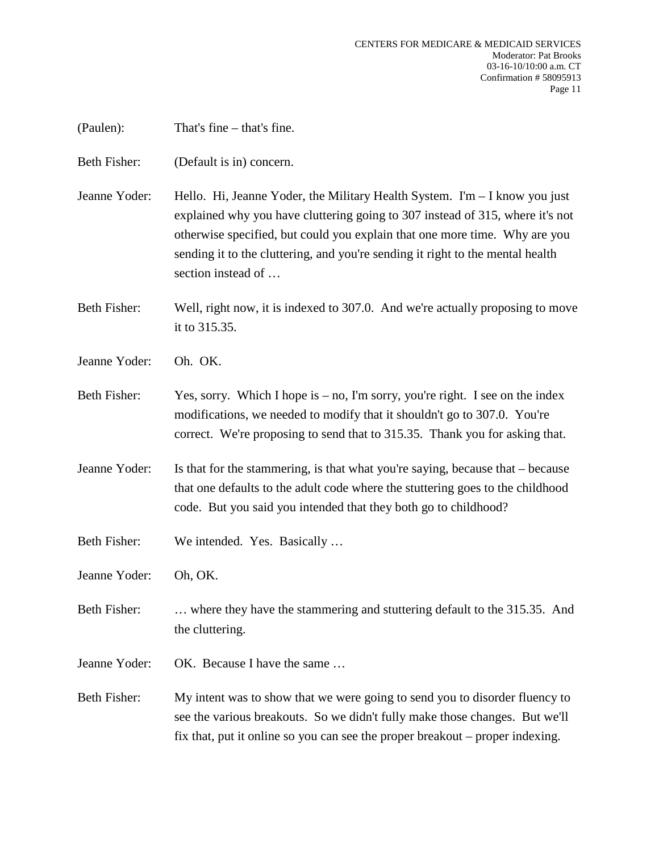| (Paulen):           | That's fine $-$ that's fine.                                                                                                                                                                                                                                                                                                                                          |
|---------------------|-----------------------------------------------------------------------------------------------------------------------------------------------------------------------------------------------------------------------------------------------------------------------------------------------------------------------------------------------------------------------|
| Beth Fisher:        | (Default is in) concern.                                                                                                                                                                                                                                                                                                                                              |
| Jeanne Yoder:       | Hello. Hi, Jeanne Yoder, the Military Health System. $\mathbf{I'm} - \mathbf{I}$ know you just<br>explained why you have cluttering going to 307 instead of 315, where it's not<br>otherwise specified, but could you explain that one more time. Why are you<br>sending it to the cluttering, and you're sending it right to the mental health<br>section instead of |
| Beth Fisher:        | Well, right now, it is indexed to 307.0. And we're actually proposing to move<br>it to 315.35.                                                                                                                                                                                                                                                                        |
| Jeanne Yoder:       | Oh. OK.                                                                                                                                                                                                                                                                                                                                                               |
| Beth Fisher:        | Yes, sorry. Which I hope is $-$ no, I'm sorry, you're right. I see on the index<br>modifications, we needed to modify that it shouldn't go to 307.0. You're<br>correct. We're proposing to send that to 315.35. Thank you for asking that.                                                                                                                            |
| Jeanne Yoder:       | Is that for the stammering, is that what you're saying, because that – because<br>that one defaults to the adult code where the stuttering goes to the childhood<br>code. But you said you intended that they both go to childhood?                                                                                                                                   |
| Beth Fisher:        | We intended. Yes. Basically                                                                                                                                                                                                                                                                                                                                           |
| Jeanne Yoder:       | Oh, OK.                                                                                                                                                                                                                                                                                                                                                               |
| <b>Beth Fisher:</b> | where they have the stammering and stuttering default to the 315.35. And<br>the cluttering.                                                                                                                                                                                                                                                                           |
| Jeanne Yoder:       | OK. Because I have the same                                                                                                                                                                                                                                                                                                                                           |
| <b>Beth Fisher:</b> | My intent was to show that we were going to send you to disorder fluency to<br>see the various breakouts. So we didn't fully make those changes. But we'll<br>fix that, put it online so you can see the proper breakout – proper indexing.                                                                                                                           |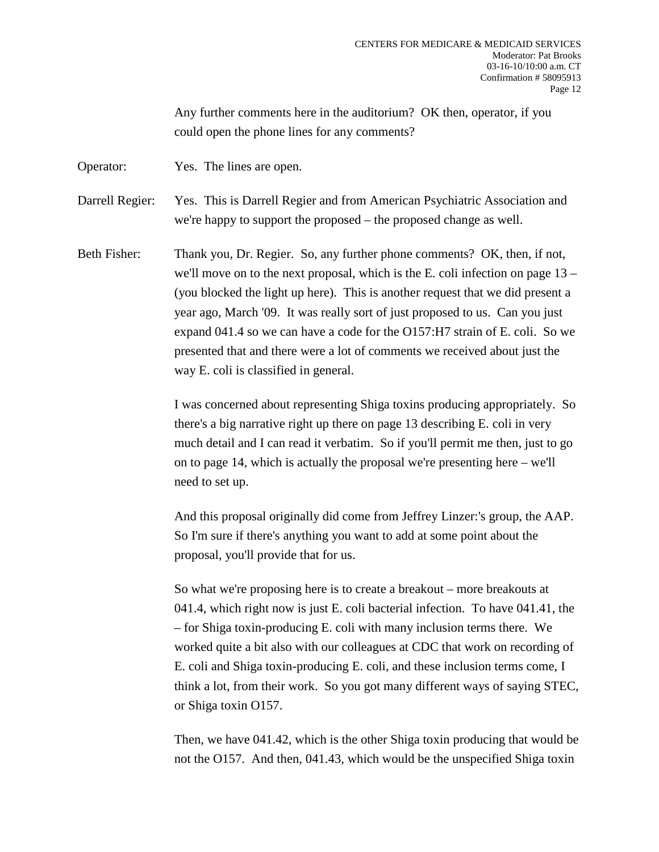Any further comments here in the auditorium? OK then, operator, if you could open the phone lines for any comments?

Operator: Yes. The lines are open.

Darrell Regier: Yes. This is Darrell Regier and from American Psychiatric Association and we're happy to support the proposed – the proposed change as well.

Beth Fisher: Thank you, Dr. Regier. So, any further phone comments? OK, then, if not, we'll move on to the next proposal, which is the E. coli infection on page 13 – (you blocked the light up here). This is another request that we did present a year ago, March '09. It was really sort of just proposed to us. Can you just expand 041.4 so we can have a code for the O157:H7 strain of E. coli. So we presented that and there were a lot of comments we received about just the way E. coli is classified in general.

> I was concerned about representing Shiga toxins producing appropriately. So there's a big narrative right up there on page 13 describing E. coli in very much detail and I can read it verbatim. So if you'll permit me then, just to go on to page 14, which is actually the proposal we're presenting here – we'll need to set up.

> And this proposal originally did come from Jeffrey Linzer:'s group, the AAP. So I'm sure if there's anything you want to add at some point about the proposal, you'll provide that for us.

So what we're proposing here is to create a breakout – more breakouts at 041.4, which right now is just E. coli bacterial infection. To have 041.41, the – for Shiga toxin-producing E. coli with many inclusion terms there. We worked quite a bit also with our colleagues at CDC that work on recording of E. coli and Shiga toxin-producing E. coli, and these inclusion terms come, I think a lot, from their work. So you got many different ways of saying STEC, or Shiga toxin O157.

Then, we have 041.42, which is the other Shiga toxin producing that would be not the O157. And then, 041.43, which would be the unspecified Shiga toxin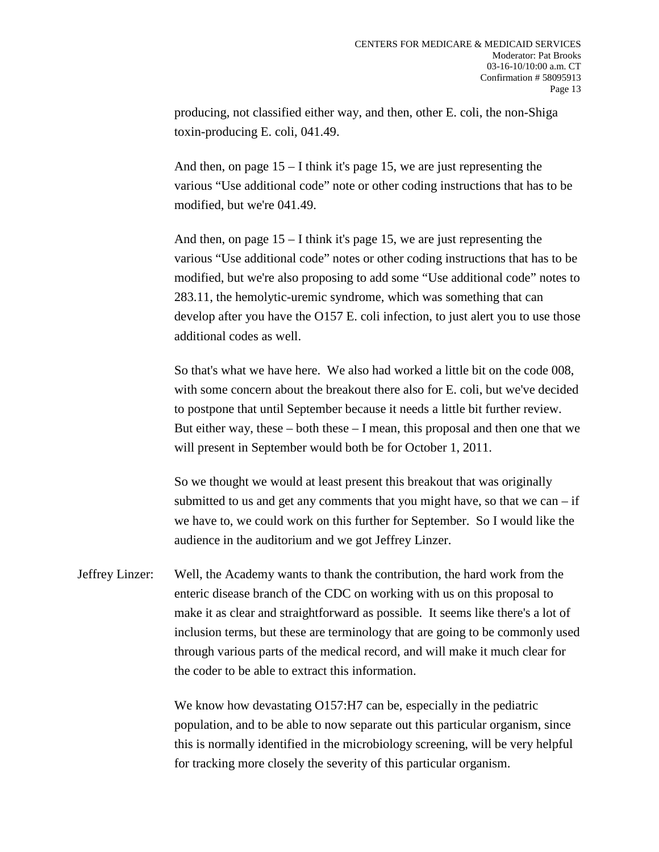producing, not classified either way, and then, other E. coli, the non-Shiga toxin-producing E. coli, 041.49.

And then, on page 15 – I think it's page 15, we are just representing the various "Use additional code" note or other coding instructions that has to be modified, but we're 041.49.

And then, on page 15 – I think it's page 15, we are just representing the various "Use additional code" notes or other coding instructions that has to be modified, but we're also proposing to add some "Use additional code" notes to 283.11, the hemolytic-uremic syndrome, which was something that can develop after you have the O157 E. coli infection, to just alert you to use those additional codes as well.

So that's what we have here. We also had worked a little bit on the code 008, with some concern about the breakout there also for E. coli, but we've decided to postpone that until September because it needs a little bit further review. But either way, these  $-$  both these  $-$  I mean, this proposal and then one that we will present in September would both be for October 1, 2011.

So we thought we would at least present this breakout that was originally submitted to us and get any comments that you might have, so that we can  $-$  if we have to, we could work on this further for September. So I would like the audience in the auditorium and we got Jeffrey Linzer.

Jeffrey Linzer: Well, the Academy wants to thank the contribution, the hard work from the enteric disease branch of the CDC on working with us on this proposal to make it as clear and straightforward as possible. It seems like there's a lot of inclusion terms, but these are terminology that are going to be commonly used through various parts of the medical record, and will make it much clear for the coder to be able to extract this information.

> We know how devastating O157:H7 can be, especially in the pediatric population, and to be able to now separate out this particular organism, since this is normally identified in the microbiology screening, will be very helpful for tracking more closely the severity of this particular organism.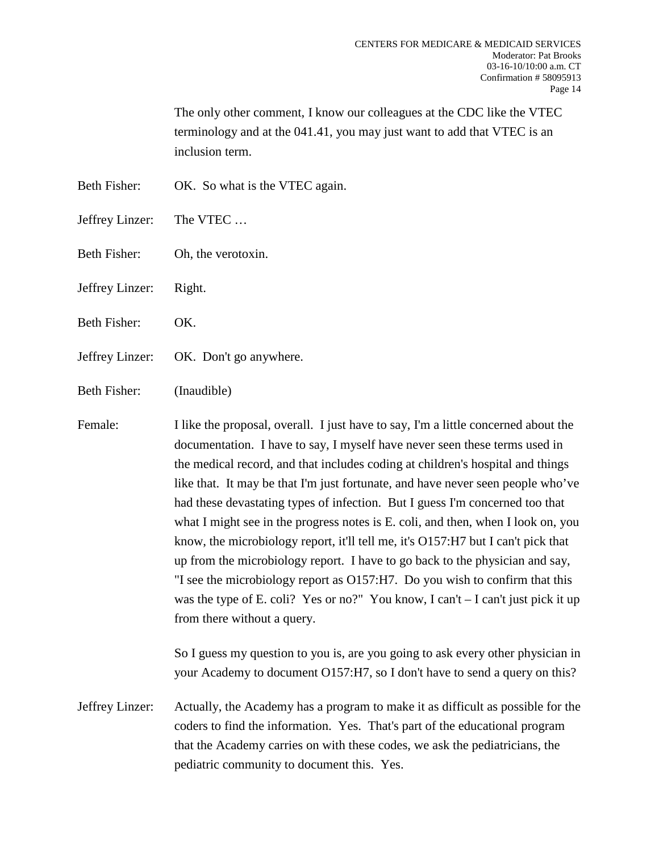The only other comment, I know our colleagues at the CDC like the VTEC terminology and at the 041.41, you may just want to add that VTEC is an inclusion term.

- Beth Fisher: OK. So what is the VTEC again.
- Jeffrey Linzer: The VTEC …
- Beth Fisher: Oh, the verotoxin.
- Jeffrey Linzer: Right.
- Beth Fisher: OK.
- Jeffrey Linzer: OK. Don't go anywhere.
- Beth Fisher: (Inaudible)

Female: I like the proposal, overall. I just have to say, I'm a little concerned about the documentation. I have to say, I myself have never seen these terms used in the medical record, and that includes coding at children's hospital and things like that. It may be that I'm just fortunate, and have never seen people who've had these devastating types of infection. But I guess I'm concerned too that what I might see in the progress notes is E. coli, and then, when I look on, you know, the microbiology report, it'll tell me, it's O157:H7 but I can't pick that up from the microbiology report. I have to go back to the physician and say, "I see the microbiology report as O157:H7. Do you wish to confirm that this was the type of E. coli? Yes or no?" You know, I can't – I can't just pick it up from there without a query.

> So I guess my question to you is, are you going to ask every other physician in your Academy to document O157:H7, so I don't have to send a query on this?

Jeffrey Linzer: Actually, the Academy has a program to make it as difficult as possible for the coders to find the information. Yes. That's part of the educational program that the Academy carries on with these codes, we ask the pediatricians, the pediatric community to document this. Yes.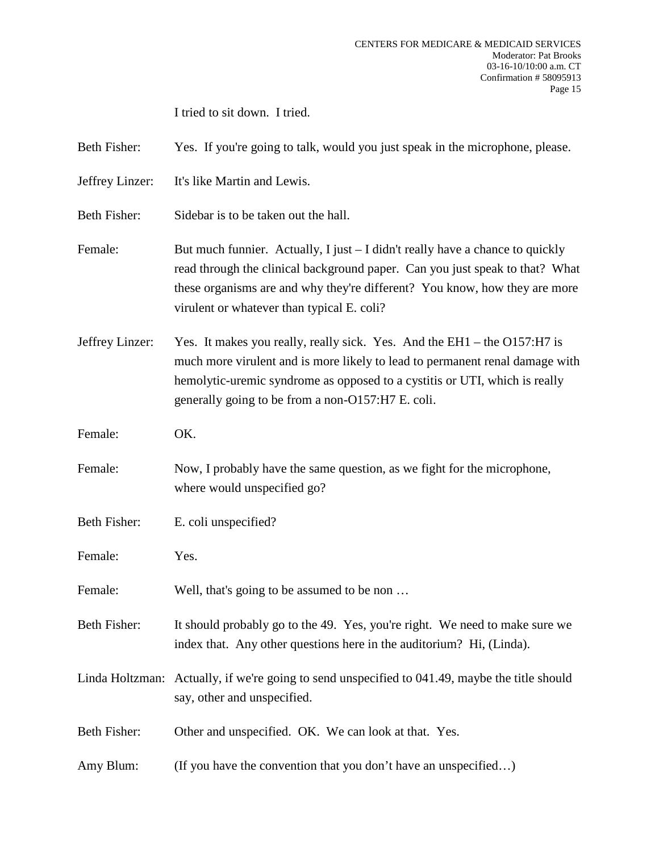I tried to sit down. I tried.

Beth Fisher: Yes. If you're going to talk, would you just speak in the microphone, please.

Jeffrey Linzer: It's like Martin and Lewis.

Beth Fisher: Sidebar is to be taken out the hall.

- Female: But much funnier. Actually, I just I didn't really have a chance to quickly read through the clinical background paper. Can you just speak to that? What these organisms are and why they're different? You know, how they are more virulent or whatever than typical E. coli?
- Jeffrey Linzer: Yes. It makes you really, really sick. Yes. And the EH1 the O157:H7 is much more virulent and is more likely to lead to permanent renal damage with hemolytic-uremic syndrome as opposed to a cystitis or UTI, which is really generally going to be from a non-O157:H7 E. coli.
- Female: OK.
- Female: Now, I probably have the same question, as we fight for the microphone, where would unspecified go?
- Beth Fisher: E. coli unspecified?
- Female: Yes.

Female: Well, that's going to be assumed to be non ...

- Beth Fisher: It should probably go to the 49. Yes, you're right. We need to make sure we index that. Any other questions here in the auditorium? Hi, (Linda).
- Linda Holtzman: Actually, if we're going to send unspecified to 041.49, maybe the title should say, other and unspecified.

Beth Fisher: Other and unspecified. OK. We can look at that. Yes.

Amy Blum: (If you have the convention that you don't have an unspecified...)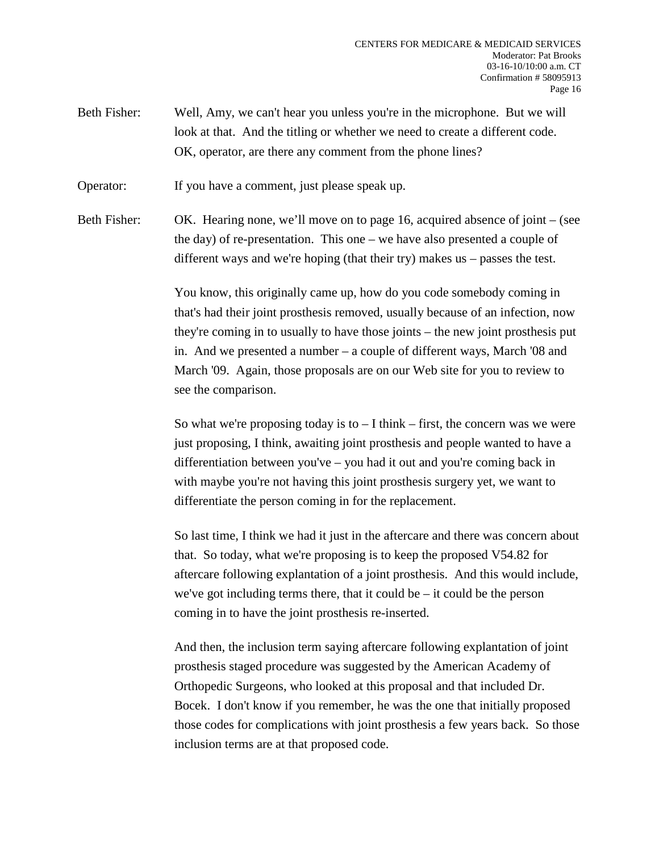Beth Fisher: Well, Amy, we can't hear you unless you're in the microphone. But we will look at that. And the titling or whether we need to create a different code. OK, operator, are there any comment from the phone lines?

Operator: If you have a comment, just please speak up.

Beth Fisher: OK. Hearing none, we'll move on to page 16, acquired absence of joint – (see the day) of re-presentation. This one – we have also presented a couple of different ways and we're hoping (that their try) makes us – passes the test.

> You know, this originally came up, how do you code somebody coming in that's had their joint prosthesis removed, usually because of an infection, now they're coming in to usually to have those joints – the new joint prosthesis put in. And we presented a number – a couple of different ways, March '08 and March '09. Again, those proposals are on our Web site for you to review to see the comparison.

> So what we're proposing today is to  $-1$  think – first, the concern was we were just proposing, I think, awaiting joint prosthesis and people wanted to have a differentiation between you've – you had it out and you're coming back in with maybe you're not having this joint prosthesis surgery yet, we want to differentiate the person coming in for the replacement.

> So last time, I think we had it just in the aftercare and there was concern about that. So today, what we're proposing is to keep the proposed V54.82 for aftercare following explantation of a joint prosthesis. And this would include, we've got including terms there, that it could be  $-$  it could be the person coming in to have the joint prosthesis re-inserted.

> And then, the inclusion term saying aftercare following explantation of joint prosthesis staged procedure was suggested by the American Academy of Orthopedic Surgeons, who looked at this proposal and that included Dr. Bocek. I don't know if you remember, he was the one that initially proposed those codes for complications with joint prosthesis a few years back. So those inclusion terms are at that proposed code.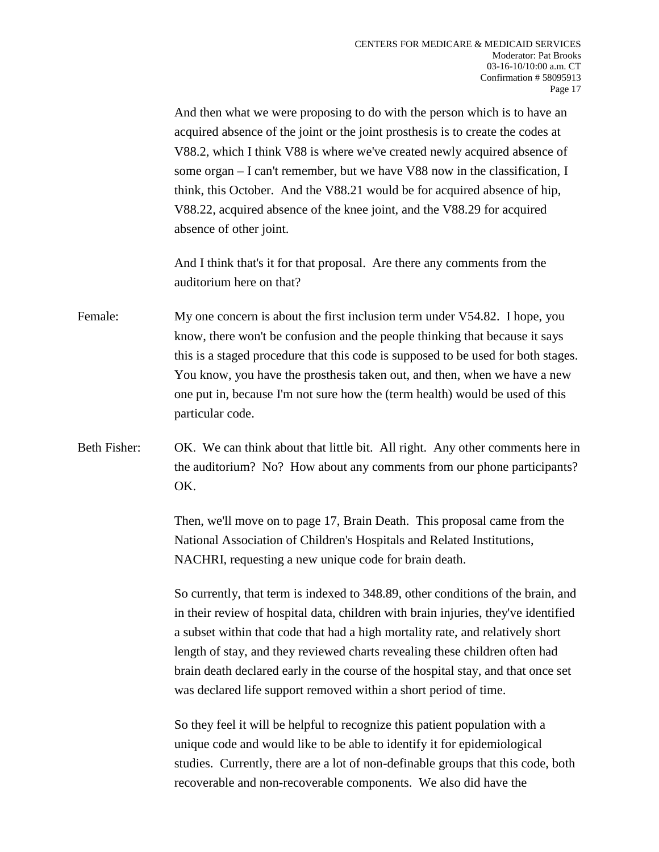And then what we were proposing to do with the person which is to have an acquired absence of the joint or the joint prosthesis is to create the codes at V88.2, which I think V88 is where we've created newly acquired absence of some organ – I can't remember, but we have V88 now in the classification, I think, this October. And the V88.21 would be for acquired absence of hip, V88.22, acquired absence of the knee joint, and the V88.29 for acquired absence of other joint.

And I think that's it for that proposal. Are there any comments from the auditorium here on that?

Female: My one concern is about the first inclusion term under V54.82. I hope, you know, there won't be confusion and the people thinking that because it says this is a staged procedure that this code is supposed to be used for both stages. You know, you have the prosthesis taken out, and then, when we have a new one put in, because I'm not sure how the (term health) would be used of this particular code.

Beth Fisher: OK. We can think about that little bit. All right. Any other comments here in the auditorium? No? How about any comments from our phone participants? OK.

> Then, we'll move on to page 17, Brain Death. This proposal came from the National Association of Children's Hospitals and Related Institutions, NACHRI, requesting a new unique code for brain death.

So currently, that term is indexed to 348.89, other conditions of the brain, and in their review of hospital data, children with brain injuries, they've identified a subset within that code that had a high mortality rate, and relatively short length of stay, and they reviewed charts revealing these children often had brain death declared early in the course of the hospital stay, and that once set was declared life support removed within a short period of time.

So they feel it will be helpful to recognize this patient population with a unique code and would like to be able to identify it for epidemiological studies. Currently, there are a lot of non-definable groups that this code, both recoverable and non-recoverable components. We also did have the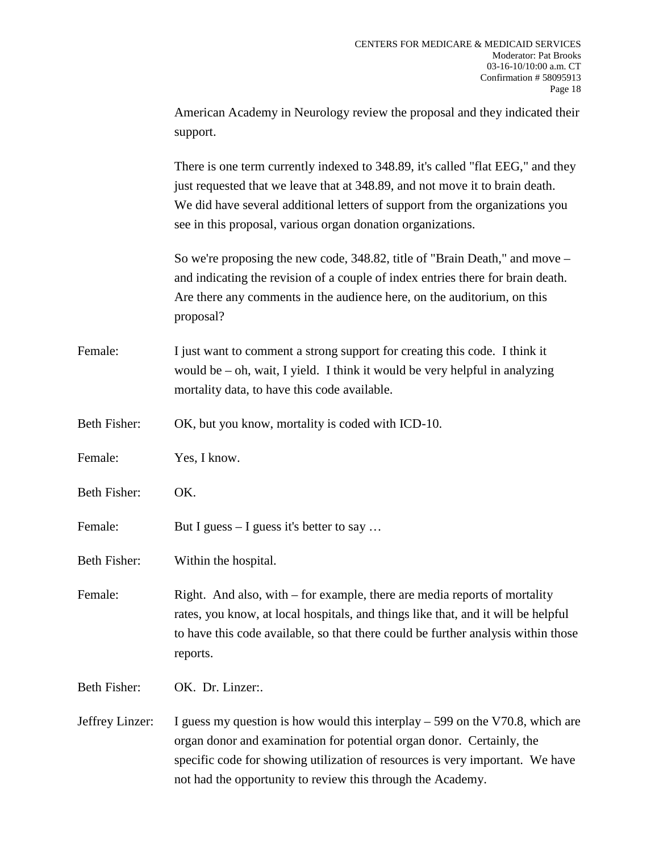|                     | American Academy in Neurology review the proposal and they indicated their<br>support.                                                                                                                                                                                                                         |
|---------------------|----------------------------------------------------------------------------------------------------------------------------------------------------------------------------------------------------------------------------------------------------------------------------------------------------------------|
|                     | There is one term currently indexed to 348.89, it's called "flat EEG," and they<br>just requested that we leave that at 348.89, and not move it to brain death.<br>We did have several additional letters of support from the organizations you<br>see in this proposal, various organ donation organizations. |
|                     | So we're proposing the new code, 348.82, title of "Brain Death," and move –<br>and indicating the revision of a couple of index entries there for brain death.<br>Are there any comments in the audience here, on the auditorium, on this<br>proposal?                                                         |
| Female:             | I just want to comment a strong support for creating this code. I think it<br>would be $-$ oh, wait, I yield. I think it would be very helpful in analyzing<br>mortality data, to have this code available.                                                                                                    |
| Beth Fisher:        | OK, but you know, mortality is coded with ICD-10.                                                                                                                                                                                                                                                              |
| Female:             | Yes, I know.                                                                                                                                                                                                                                                                                                   |
| Beth Fisher:        | OK.                                                                                                                                                                                                                                                                                                            |
| Female:             | But I guess $-$ I guess it's better to say                                                                                                                                                                                                                                                                     |
| <b>Beth Fisher:</b> | Within the hospital.                                                                                                                                                                                                                                                                                           |
| Female:             | Right. And also, with – for example, there are media reports of mortality<br>rates, you know, at local hospitals, and things like that, and it will be helpful<br>to have this code available, so that there could be further analysis within those<br>reports.                                                |
| <b>Beth Fisher:</b> | OK. Dr. Linzer:.                                                                                                                                                                                                                                                                                               |
| Jeffrey Linzer:     | I guess my question is how would this interplay $-599$ on the V70.8, which are<br>organ donor and examination for potential organ donor. Certainly, the<br>specific code for showing utilization of resources is very important. We have<br>not had the opportunity to review this through the Academy.        |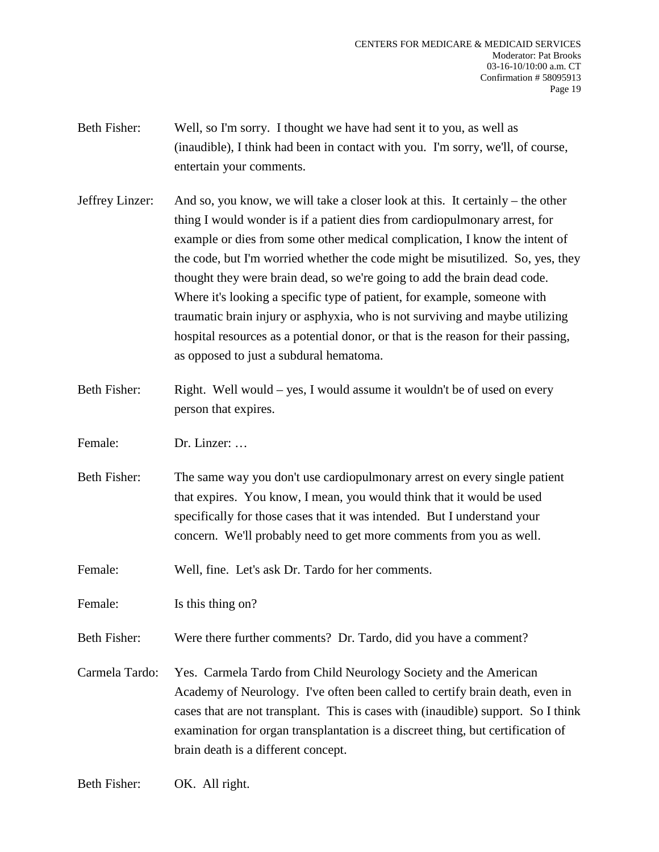- Beth Fisher: Well, so I'm sorry. I thought we have had sent it to you, as well as (inaudible), I think had been in contact with you. I'm sorry, we'll, of course, entertain your comments.
- Jeffrey Linzer: And so, you know, we will take a closer look at this. It certainly the other thing I would wonder is if a patient dies from cardiopulmonary arrest, for example or dies from some other medical complication, I know the intent of the code, but I'm worried whether the code might be misutilized. So, yes, they thought they were brain dead, so we're going to add the brain dead code. Where it's looking a specific type of patient, for example, someone with traumatic brain injury or asphyxia, who is not surviving and maybe utilizing hospital resources as a potential donor, or that is the reason for their passing, as opposed to just a subdural hematoma.
- Beth Fisher: Right. Well would yes, I would assume it wouldn't be of used on every person that expires.
- Female: Dr. Linzer: ...
- Beth Fisher: The same way you don't use cardiopulmonary arrest on every single patient that expires. You know, I mean, you would think that it would be used specifically for those cases that it was intended. But I understand your concern. We'll probably need to get more comments from you as well.
- Female: Well, fine. Let's ask Dr. Tardo for her comments.
- Female: Is this thing on?
- Beth Fisher: Were there further comments? Dr. Tardo, did you have a comment?
- Carmela Tardo: Yes. Carmela Tardo from Child Neurology Society and the American Academy of Neurology. I've often been called to certify brain death, even in cases that are not transplant. This is cases with (inaudible) support. So I think examination for organ transplantation is a discreet thing, but certification of brain death is a different concept.
- Beth Fisher: OK. All right.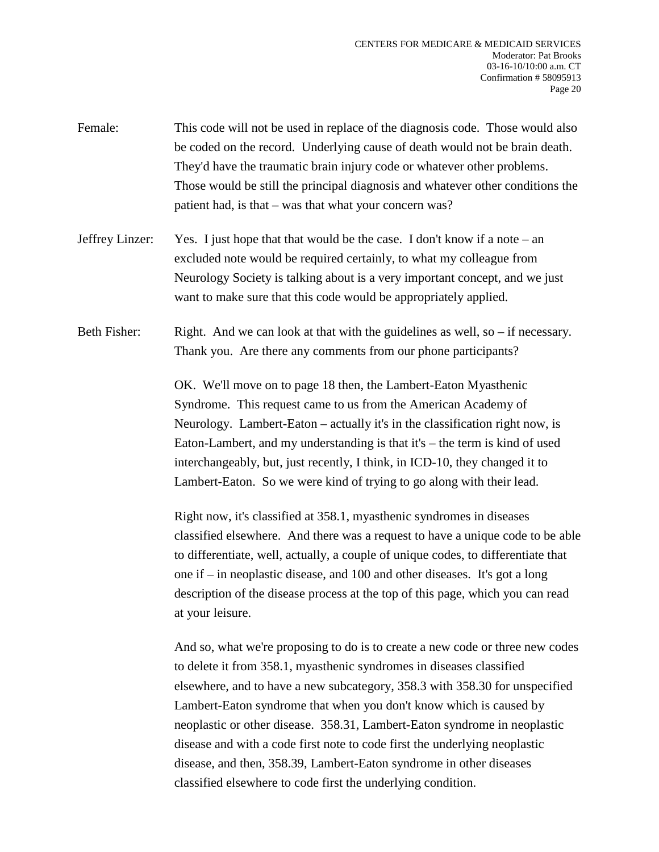- Female: This code will not be used in replace of the diagnosis code. Those would also be coded on the record. Underlying cause of death would not be brain death. They'd have the traumatic brain injury code or whatever other problems. Those would be still the principal diagnosis and whatever other conditions the patient had, is that – was that what your concern was?
- Jeffrey Linzer: Yes. I just hope that that would be the case. I don't know if a note an excluded note would be required certainly, to what my colleague from Neurology Society is talking about is a very important concept, and we just want to make sure that this code would be appropriately applied.
- Beth Fisher: Right. And we can look at that with the guidelines as well, so if necessary. Thank you. Are there any comments from our phone participants?

OK. We'll move on to page 18 then, the Lambert-Eaton Myasthenic Syndrome. This request came to us from the American Academy of Neurology. Lambert-Eaton – actually it's in the classification right now, is Eaton-Lambert, and my understanding is that it's – the term is kind of used interchangeably, but, just recently, I think, in ICD-10, they changed it to Lambert-Eaton. So we were kind of trying to go along with their lead.

Right now, it's classified at 358.1, myasthenic syndromes in diseases classified elsewhere. And there was a request to have a unique code to be able to differentiate, well, actually, a couple of unique codes, to differentiate that one if – in neoplastic disease, and 100 and other diseases. It's got a long description of the disease process at the top of this page, which you can read at your leisure.

And so, what we're proposing to do is to create a new code or three new codes to delete it from 358.1, myasthenic syndromes in diseases classified elsewhere, and to have a new subcategory, 358.3 with 358.30 for unspecified Lambert-Eaton syndrome that when you don't know which is caused by neoplastic or other disease. 358.31, Lambert-Eaton syndrome in neoplastic disease and with a code first note to code first the underlying neoplastic disease, and then, 358.39, Lambert-Eaton syndrome in other diseases classified elsewhere to code first the underlying condition.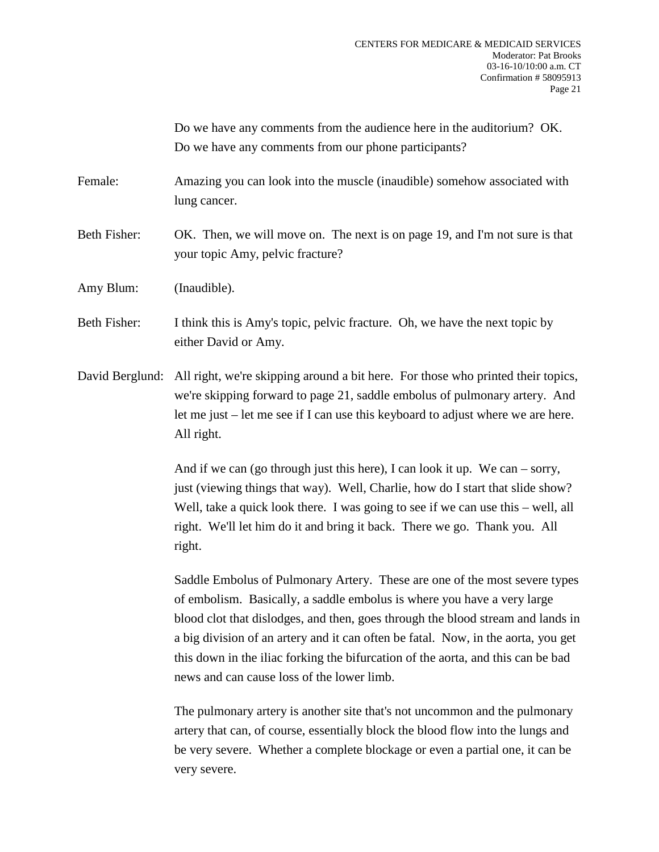Do we have any comments from the audience here in the auditorium? OK. Do we have any comments from our phone participants?

- Female: Amazing you can look into the muscle (inaudible) somehow associated with lung cancer.
- Beth Fisher: OK. Then, we will move on. The next is on page 19, and I'm not sure is that your topic Amy, pelvic fracture?
- Amy Blum: (Inaudible).
- Beth Fisher: I think this is Amy's topic, pelvic fracture. Oh, we have the next topic by either David or Amy.
- David Berglund: All right, we're skipping around a bit here. For those who printed their topics, we're skipping forward to page 21, saddle embolus of pulmonary artery. And let me just – let me see if I can use this keyboard to adjust where we are here. All right.

And if we can (go through just this here), I can look it up. We can – sorry, just (viewing things that way). Well, Charlie, how do I start that slide show? Well, take a quick look there. I was going to see if we can use this – well, all right. We'll let him do it and bring it back. There we go. Thank you. All right.

Saddle Embolus of Pulmonary Artery. These are one of the most severe types of embolism. Basically, a saddle embolus is where you have a very large blood clot that dislodges, and then, goes through the blood stream and lands in a big division of an artery and it can often be fatal. Now, in the aorta, you get this down in the iliac forking the bifurcation of the aorta, and this can be bad news and can cause loss of the lower limb.

The pulmonary artery is another site that's not uncommon and the pulmonary artery that can, of course, essentially block the blood flow into the lungs and be very severe. Whether a complete blockage or even a partial one, it can be very severe.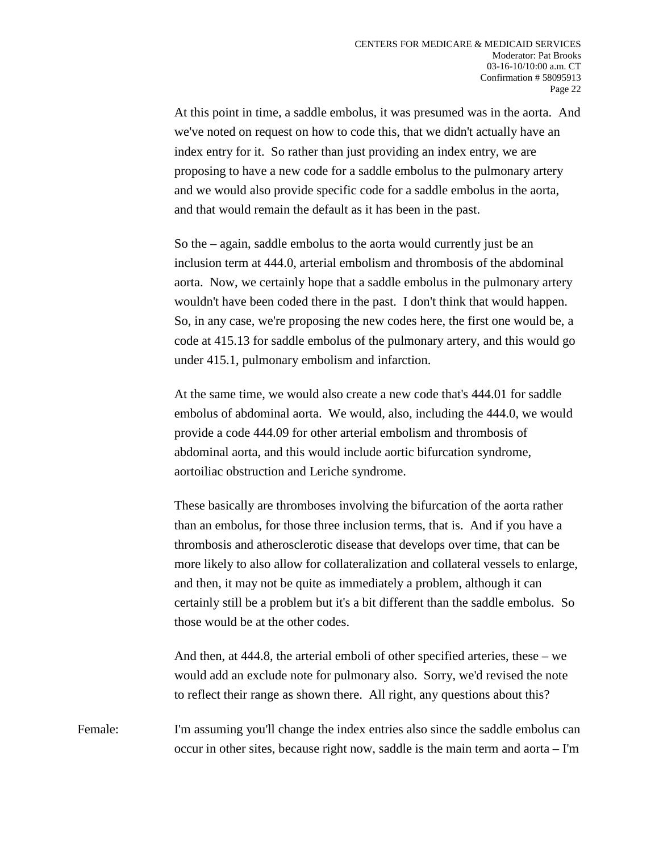At this point in time, a saddle embolus, it was presumed was in the aorta. And we've noted on request on how to code this, that we didn't actually have an index entry for it. So rather than just providing an index entry, we are proposing to have a new code for a saddle embolus to the pulmonary artery and we would also provide specific code for a saddle embolus in the aorta, and that would remain the default as it has been in the past.

So the – again, saddle embolus to the aorta would currently just be an inclusion term at 444.0, arterial embolism and thrombosis of the abdominal aorta. Now, we certainly hope that a saddle embolus in the pulmonary artery wouldn't have been coded there in the past. I don't think that would happen. So, in any case, we're proposing the new codes here, the first one would be, a code at 415.13 for saddle embolus of the pulmonary artery, and this would go under 415.1, pulmonary embolism and infarction.

At the same time, we would also create a new code that's 444.01 for saddle embolus of abdominal aorta. We would, also, including the 444.0, we would provide a code 444.09 for other arterial embolism and thrombosis of abdominal aorta, and this would include aortic bifurcation syndrome, aortoiliac obstruction and Leriche syndrome.

These basically are thromboses involving the bifurcation of the aorta rather than an embolus, for those three inclusion terms, that is. And if you have a thrombosis and atherosclerotic disease that develops over time, that can be more likely to also allow for collateralization and collateral vessels to enlarge, and then, it may not be quite as immediately a problem, although it can certainly still be a problem but it's a bit different than the saddle embolus. So those would be at the other codes.

And then, at 444.8, the arterial emboli of other specified arteries, these – we would add an exclude note for pulmonary also. Sorry, we'd revised the note to reflect their range as shown there. All right, any questions about this?

Female: I'm assuming you'll change the index entries also since the saddle embolus can occur in other sites, because right now, saddle is the main term and aorta – I'm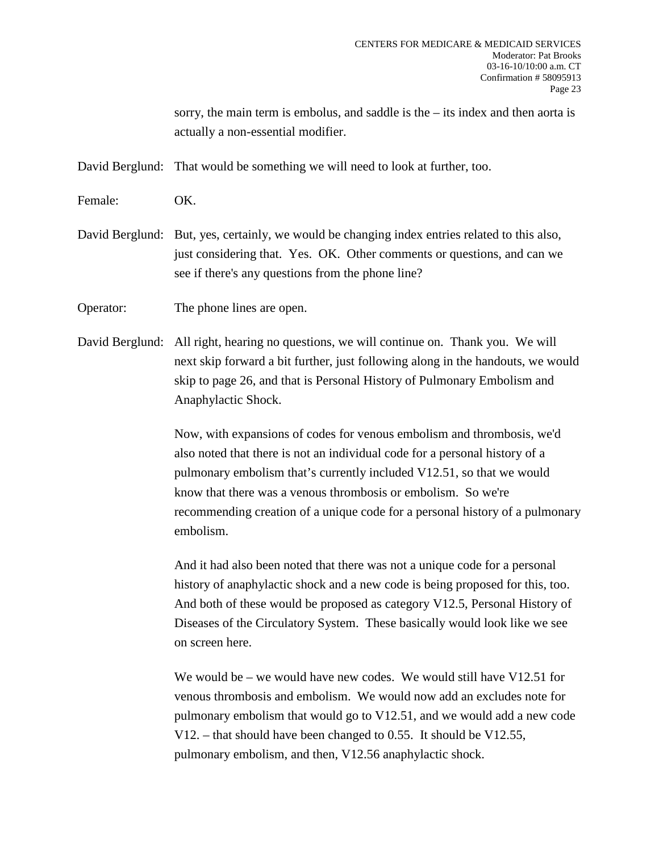sorry, the main term is embolus, and saddle is the – its index and then aorta is actually a non-essential modifier.

David Berglund: That would be something we will need to look at further, too.

Female: OK.

David Berglund: But, yes, certainly, we would be changing index entries related to this also, just considering that. Yes. OK. Other comments or questions, and can we see if there's any questions from the phone line?

Operator: The phone lines are open.

David Berglund: All right, hearing no questions, we will continue on. Thank you. We will next skip forward a bit further, just following along in the handouts, we would skip to page 26, and that is Personal History of Pulmonary Embolism and Anaphylactic Shock.

> Now, with expansions of codes for venous embolism and thrombosis, we'd also noted that there is not an individual code for a personal history of a pulmonary embolism that's currently included V12.51, so that we would know that there was a venous thrombosis or embolism. So we're recommending creation of a unique code for a personal history of a pulmonary embolism.

And it had also been noted that there was not a unique code for a personal history of anaphylactic shock and a new code is being proposed for this, too. And both of these would be proposed as category V12.5, Personal History of Diseases of the Circulatory System. These basically would look like we see on screen here.

We would be – we would have new codes. We would still have V12.51 for venous thrombosis and embolism. We would now add an excludes note for pulmonary embolism that would go to V12.51, and we would add a new code V12. – that should have been changed to 0.55. It should be V12.55, pulmonary embolism, and then, V12.56 anaphylactic shock.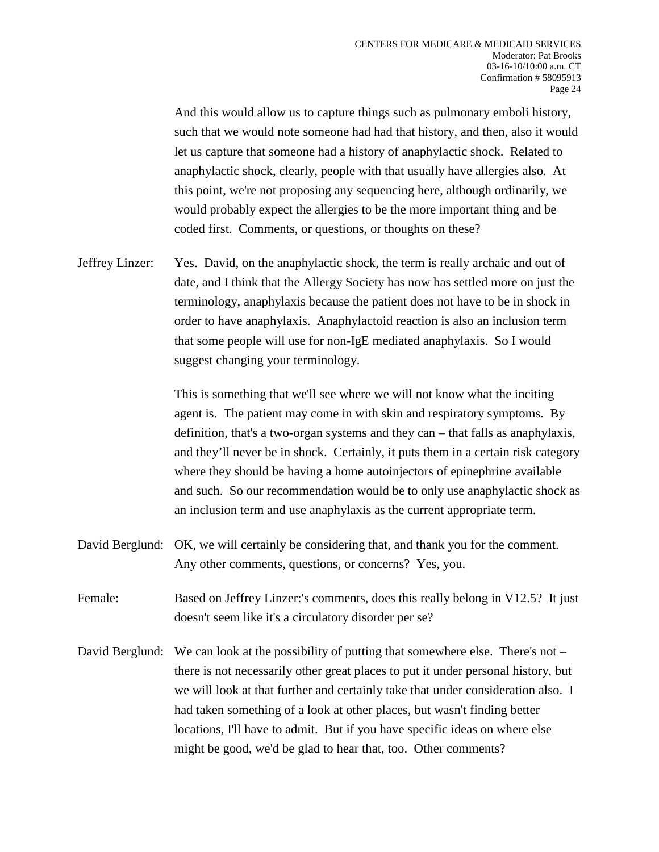And this would allow us to capture things such as pulmonary emboli history, such that we would note someone had had that history, and then, also it would let us capture that someone had a history of anaphylactic shock. Related to anaphylactic shock, clearly, people with that usually have allergies also. At this point, we're not proposing any sequencing here, although ordinarily, we would probably expect the allergies to be the more important thing and be coded first. Comments, or questions, or thoughts on these?

Jeffrey Linzer: Yes. David, on the anaphylactic shock, the term is really archaic and out of date, and I think that the Allergy Society has now has settled more on just the terminology, anaphylaxis because the patient does not have to be in shock in order to have anaphylaxis. Anaphylactoid reaction is also an inclusion term that some people will use for non-IgE mediated anaphylaxis. So I would suggest changing your terminology.

> This is something that we'll see where we will not know what the inciting agent is. The patient may come in with skin and respiratory symptoms. By definition, that's a two-organ systems and they can – that falls as anaphylaxis, and they'll never be in shock. Certainly, it puts them in a certain risk category where they should be having a home autoinjectors of epinephrine available and such. So our recommendation would be to only use anaphylactic shock as an inclusion term and use anaphylaxis as the current appropriate term.

- David Berglund: OK, we will certainly be considering that, and thank you for the comment. Any other comments, questions, or concerns? Yes, you.
- Female: Based on Jeffrey Linzer:'s comments, does this really belong in V12.5? It just doesn't seem like it's a circulatory disorder per se?
- David Berglund: We can look at the possibility of putting that somewhere else. There's not there is not necessarily other great places to put it under personal history, but we will look at that further and certainly take that under consideration also. I had taken something of a look at other places, but wasn't finding better locations, I'll have to admit. But if you have specific ideas on where else might be good, we'd be glad to hear that, too. Other comments?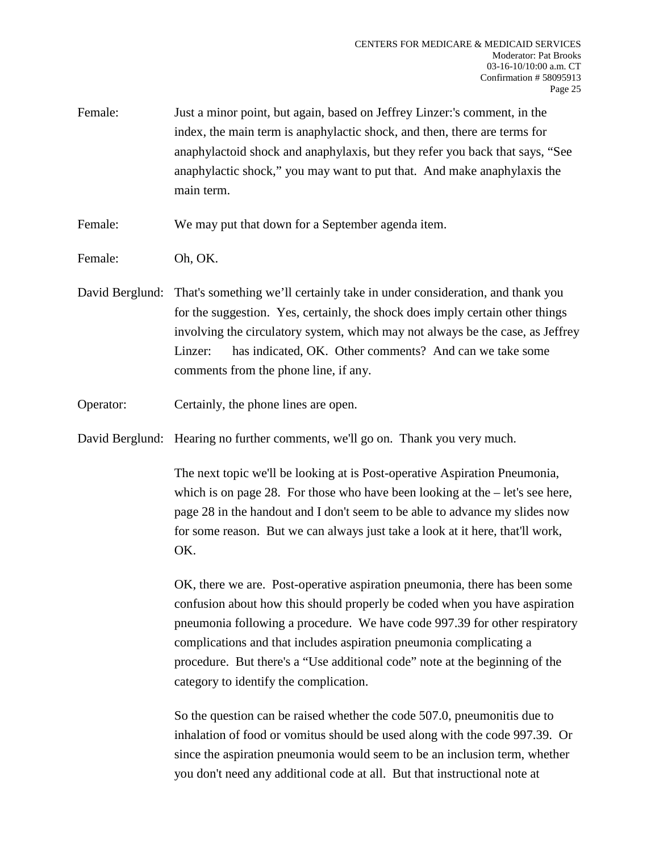Female: Just a minor point, but again, based on Jeffrey Linzer:'s comment, in the index, the main term is anaphylactic shock, and then, there are terms for anaphylactoid shock and anaphylaxis, but they refer you back that says, "See anaphylactic shock," you may want to put that. And make anaphylaxis the main term.

Female: We may put that down for a September agenda item.

Female: Oh, OK.

- David Berglund: That's something we'll certainly take in under consideration, and thank you for the suggestion. Yes, certainly, the shock does imply certain other things involving the circulatory system, which may not always be the case, as Jeffrey Linzer: has indicated, OK. Other comments? And can we take some comments from the phone line, if any.
- Operator: Certainly, the phone lines are open.
- David Berglund: Hearing no further comments, we'll go on. Thank you very much.

The next topic we'll be looking at is Post-operative Aspiration Pneumonia, which is on page 28. For those who have been looking at the – let's see here, page 28 in the handout and I don't seem to be able to advance my slides now for some reason. But we can always just take a look at it here, that'll work, OK.

OK, there we are. Post-operative aspiration pneumonia, there has been some confusion about how this should properly be coded when you have aspiration pneumonia following a procedure. We have code 997.39 for other respiratory complications and that includes aspiration pneumonia complicating a procedure. But there's a "Use additional code" note at the beginning of the category to identify the complication.

So the question can be raised whether the code 507.0, pneumonitis due to inhalation of food or vomitus should be used along with the code 997.39. Or since the aspiration pneumonia would seem to be an inclusion term, whether you don't need any additional code at all. But that instructional note at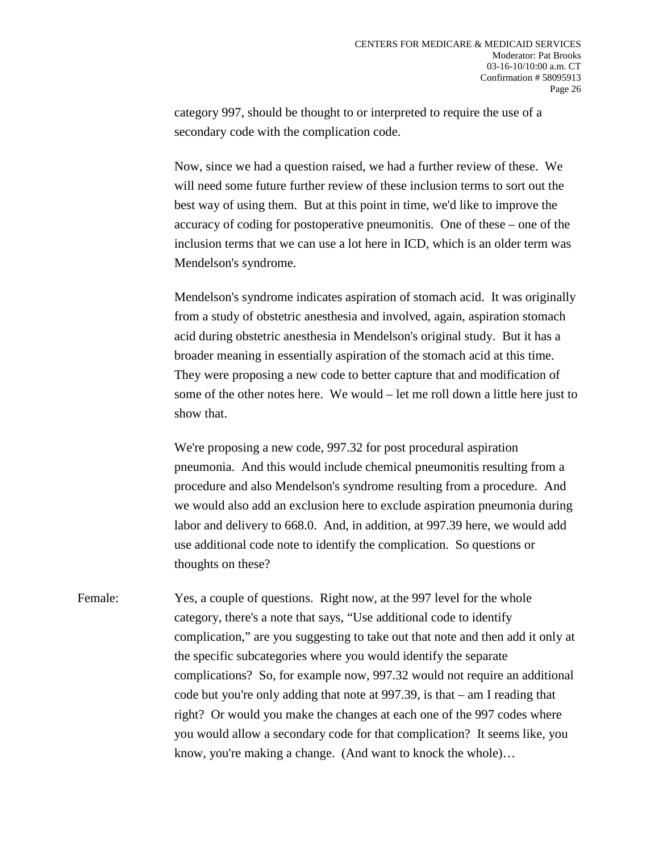category 997, should be thought to or interpreted to require the use of a secondary code with the complication code.

Now, since we had a question raised, we had a further review of these. We will need some future further review of these inclusion terms to sort out the best way of using them. But at this point in time, we'd like to improve the accuracy of coding for postoperative pneumonitis. One of these – one of the inclusion terms that we can use a lot here in ICD, which is an older term was Mendelson's syndrome.

Mendelson's syndrome indicates aspiration of stomach acid. It was originally from a study of obstetric anesthesia and involved, again, aspiration stomach acid during obstetric anesthesia in Mendelson's original study. But it has a broader meaning in essentially aspiration of the stomach acid at this time. They were proposing a new code to better capture that and modification of some of the other notes here. We would – let me roll down a little here just to show that.

We're proposing a new code, 997.32 for post procedural aspiration pneumonia. And this would include chemical pneumonitis resulting from a procedure and also Mendelson's syndrome resulting from a procedure. And we would also add an exclusion here to exclude aspiration pneumonia during labor and delivery to 668.0. And, in addition, at 997.39 here, we would add use additional code note to identify the complication. So questions or thoughts on these?

Female: Yes, a couple of questions. Right now, at the 997 level for the whole category, there's a note that says, "Use additional code to identify complication," are you suggesting to take out that note and then add it only at the specific subcategories where you would identify the separate complications? So, for example now, 997.32 would not require an additional code but you're only adding that note at 997.39, is that – am I reading that right? Or would you make the changes at each one of the 997 codes where you would allow a secondary code for that complication? It seems like, you know, you're making a change. (And want to knock the whole)…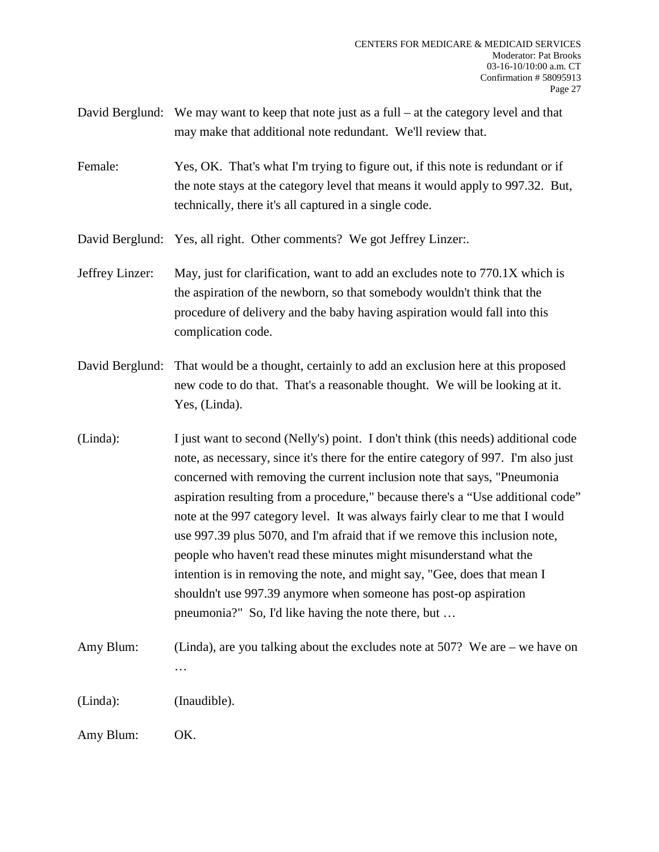- David Berglund: We may want to keep that note just as a full at the category level and that may make that additional note redundant. We'll review that.
- Female: Yes, OK. That's what I'm trying to figure out, if this note is redundant or if the note stays at the category level that means it would apply to 997.32. But, technically, there it's all captured in a single code.

David Berglund: Yes, all right. Other comments? We got Jeffrey Linzer:.

- Jeffrey Linzer: May, just for clarification, want to add an excludes note to 770.1X which is the aspiration of the newborn, so that somebody wouldn't think that the procedure of delivery and the baby having aspiration would fall into this complication code.
- David Berglund: That would be a thought, certainly to add an exclusion here at this proposed new code to do that. That's a reasonable thought. We will be looking at it. Yes, (Linda).
- (Linda): I just want to second (Nelly's) point. I don't think (this needs) additional code note, as necessary, since it's there for the entire category of 997. I'm also just concerned with removing the current inclusion note that says, "Pneumonia aspiration resulting from a procedure," because there's a "Use additional code" note at the 997 category level. It was always fairly clear to me that I would use 997.39 plus 5070, and I'm afraid that if we remove this inclusion note, people who haven't read these minutes might misunderstand what the intention is in removing the note, and might say, "Gee, does that mean I shouldn't use 997.39 anymore when someone has post-op aspiration pneumonia?" So, I'd like having the note there, but …
- Amy Blum: (Linda), are you talking about the excludes note at 507? We are we have on …

(Linda): (Inaudible).

Amy Blum: OK.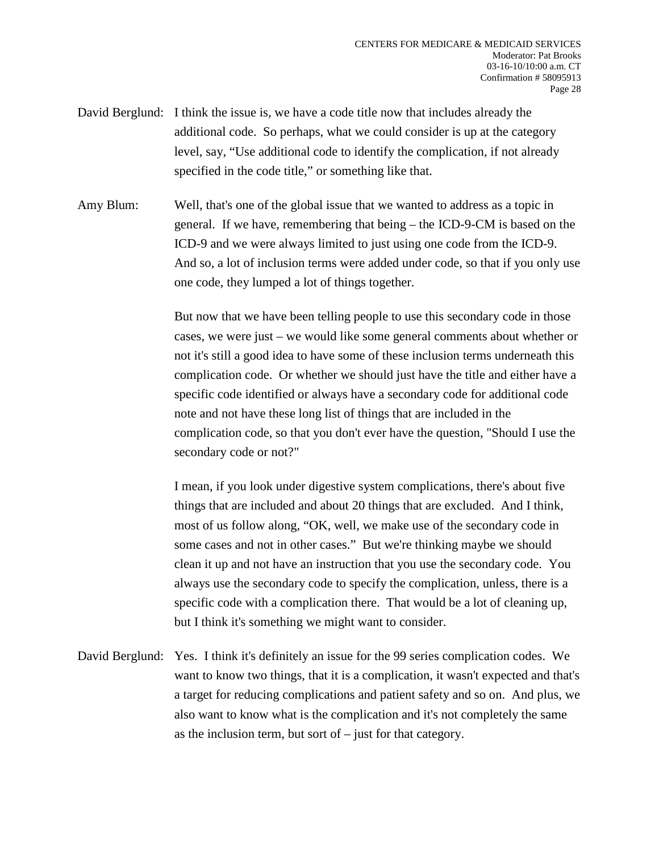- David Berglund: I think the issue is, we have a code title now that includes already the additional code. So perhaps, what we could consider is up at the category level, say, "Use additional code to identify the complication, if not already specified in the code title," or something like that.
- Amy Blum: Well, that's one of the global issue that we wanted to address as a topic in general. If we have, remembering that being – the ICD-9-CM is based on the ICD-9 and we were always limited to just using one code from the ICD-9. And so, a lot of inclusion terms were added under code, so that if you only use one code, they lumped a lot of things together.

But now that we have been telling people to use this secondary code in those cases, we were just – we would like some general comments about whether or not it's still a good idea to have some of these inclusion terms underneath this complication code. Or whether we should just have the title and either have a specific code identified or always have a secondary code for additional code note and not have these long list of things that are included in the complication code, so that you don't ever have the question, "Should I use the secondary code or not?"

I mean, if you look under digestive system complications, there's about five things that are included and about 20 things that are excluded. And I think, most of us follow along, "OK, well, we make use of the secondary code in some cases and not in other cases." But we're thinking maybe we should clean it up and not have an instruction that you use the secondary code. You always use the secondary code to specify the complication, unless, there is a specific code with a complication there. That would be a lot of cleaning up, but I think it's something we might want to consider.

David Berglund: Yes. I think it's definitely an issue for the 99 series complication codes. We want to know two things, that it is a complication, it wasn't expected and that's a target for reducing complications and patient safety and so on. And plus, we also want to know what is the complication and it's not completely the same as the inclusion term, but sort of – just for that category.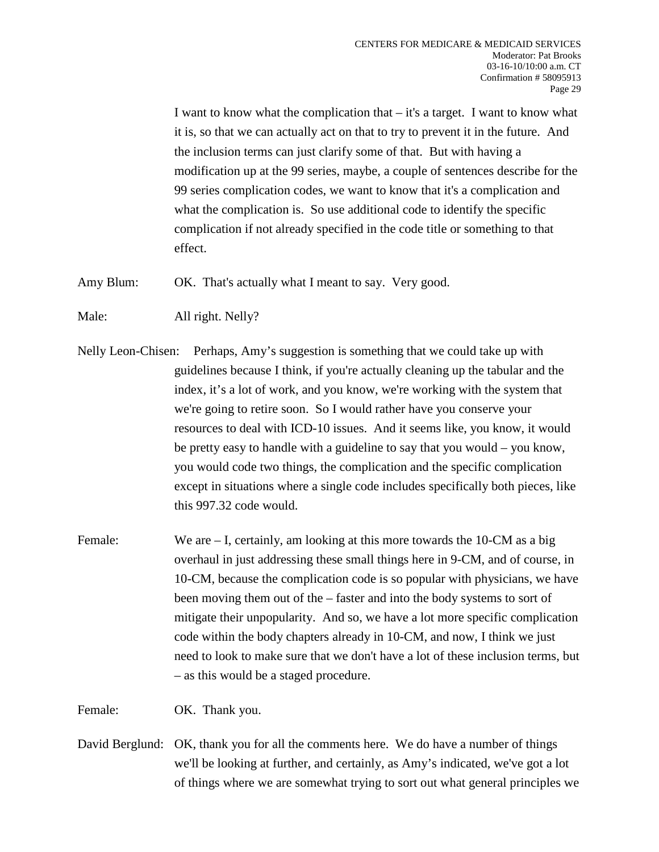I want to know what the complication that – it's a target. I want to know what it is, so that we can actually act on that to try to prevent it in the future. And the inclusion terms can just clarify some of that. But with having a modification up at the 99 series, maybe, a couple of sentences describe for the 99 series complication codes, we want to know that it's a complication and what the complication is. So use additional code to identify the specific complication if not already specified in the code title or something to that effect.

Amy Blum: OK. That's actually what I meant to say. Very good.

Male: All right. Nelly?

- Nelly Leon-Chisen: Perhaps, Amy's suggestion is something that we could take up with guidelines because I think, if you're actually cleaning up the tabular and the index, it's a lot of work, and you know, we're working with the system that we're going to retire soon. So I would rather have you conserve your resources to deal with ICD-10 issues. And it seems like, you know, it would be pretty easy to handle with a guideline to say that you would – you know, you would code two things, the complication and the specific complication except in situations where a single code includes specifically both pieces, like this 997.32 code would.
- Female: We are I, certainly, am looking at this more towards the 10-CM as a big overhaul in just addressing these small things here in 9-CM, and of course, in 10-CM, because the complication code is so popular with physicians, we have been moving them out of the – faster and into the body systems to sort of mitigate their unpopularity. And so, we have a lot more specific complication code within the body chapters already in 10-CM, and now, I think we just need to look to make sure that we don't have a lot of these inclusion terms, but – as this would be a staged procedure.

Female: OK. Thank you.

David Berglund: OK, thank you for all the comments here. We do have a number of things we'll be looking at further, and certainly, as Amy's indicated, we've got a lot of things where we are somewhat trying to sort out what general principles we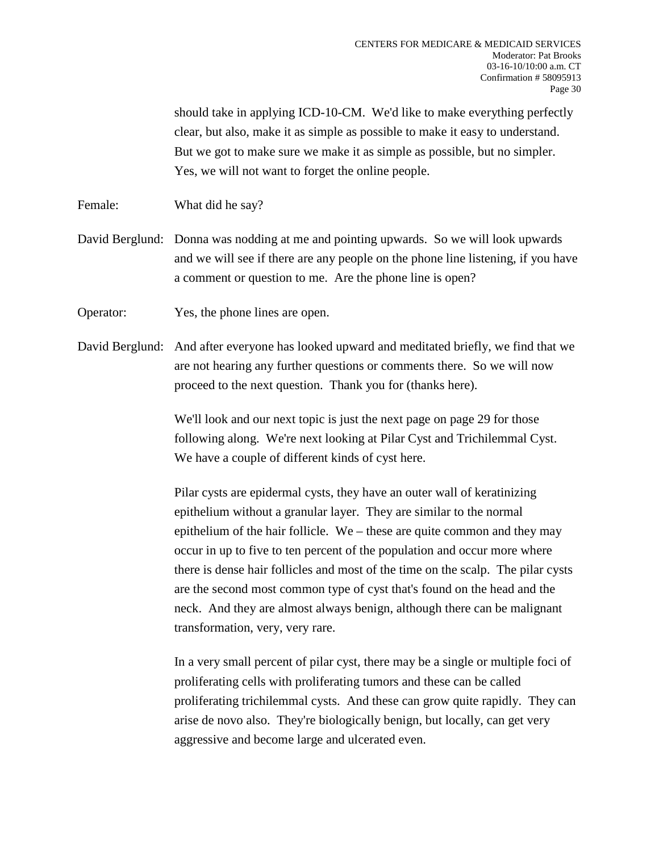should take in applying ICD-10-CM. We'd like to make everything perfectly clear, but also, make it as simple as possible to make it easy to understand. But we got to make sure we make it as simple as possible, but no simpler. Yes, we will not want to forget the online people.

Female: What did he say?

David Berglund: Donna was nodding at me and pointing upwards. So we will look upwards and we will see if there are any people on the phone line listening, if you have a comment or question to me. Are the phone line is open?

Operator: Yes, the phone lines are open.

David Berglund: And after everyone has looked upward and meditated briefly, we find that we are not hearing any further questions or comments there. So we will now proceed to the next question. Thank you for (thanks here).

> We'll look and our next topic is just the next page on page 29 for those following along. We're next looking at Pilar Cyst and Trichilemmal Cyst. We have a couple of different kinds of cyst here.

Pilar cysts are epidermal cysts, they have an outer wall of keratinizing epithelium without a granular layer. They are similar to the normal epithelium of the hair follicle. We – these are quite common and they may occur in up to five to ten percent of the population and occur more where there is dense hair follicles and most of the time on the scalp. The pilar cysts are the second most common type of cyst that's found on the head and the neck. And they are almost always benign, although there can be malignant transformation, very, very rare.

In a very small percent of pilar cyst, there may be a single or multiple foci of proliferating cells with proliferating tumors and these can be called proliferating trichilemmal cysts. And these can grow quite rapidly. They can arise de novo also. They're biologically benign, but locally, can get very aggressive and become large and ulcerated even.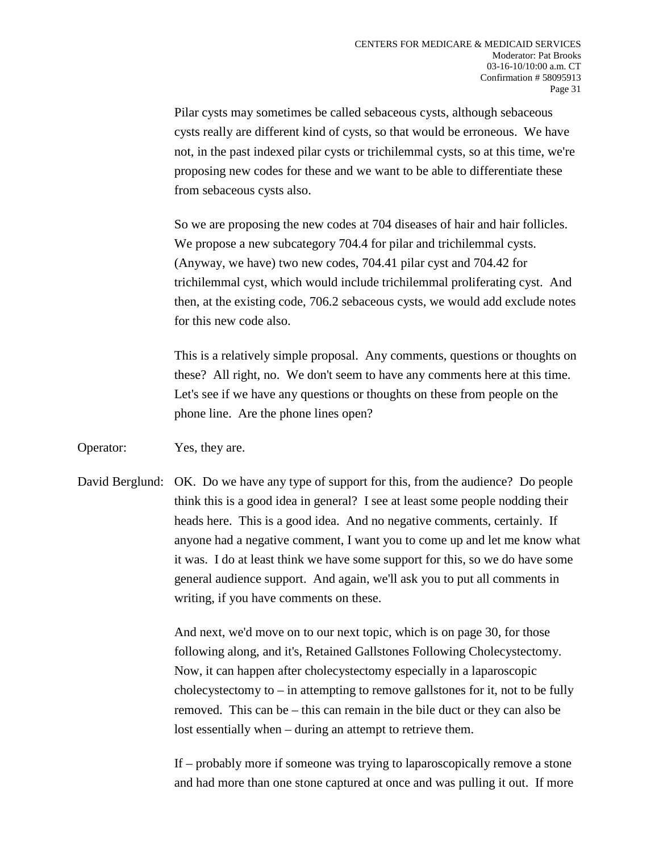Pilar cysts may sometimes be called sebaceous cysts, although sebaceous cysts really are different kind of cysts, so that would be erroneous. We have not, in the past indexed pilar cysts or trichilemmal cysts, so at this time, we're proposing new codes for these and we want to be able to differentiate these from sebaceous cysts also.

So we are proposing the new codes at 704 diseases of hair and hair follicles. We propose a new subcategory 704.4 for pilar and trichilemmal cysts. (Anyway, we have) two new codes, 704.41 pilar cyst and 704.42 for trichilemmal cyst, which would include trichilemmal proliferating cyst. And then, at the existing code, 706.2 sebaceous cysts, we would add exclude notes for this new code also.

This is a relatively simple proposal. Any comments, questions or thoughts on these? All right, no. We don't seem to have any comments here at this time. Let's see if we have any questions or thoughts on these from people on the phone line. Are the phone lines open?

- Operator: Yes, they are.
- David Berglund: OK. Do we have any type of support for this, from the audience? Do people think this is a good idea in general? I see at least some people nodding their heads here. This is a good idea. And no negative comments, certainly. If anyone had a negative comment, I want you to come up and let me know what it was. I do at least think we have some support for this, so we do have some general audience support. And again, we'll ask you to put all comments in writing, if you have comments on these.

And next, we'd move on to our next topic, which is on page 30, for those following along, and it's, Retained Gallstones Following Cholecystectomy. Now, it can happen after cholecystectomy especially in a laparoscopic cholecystectomy to – in attempting to remove gallstones for it, not to be fully removed. This can be – this can remain in the bile duct or they can also be lost essentially when – during an attempt to retrieve them.

If – probably more if someone was trying to laparoscopically remove a stone and had more than one stone captured at once and was pulling it out. If more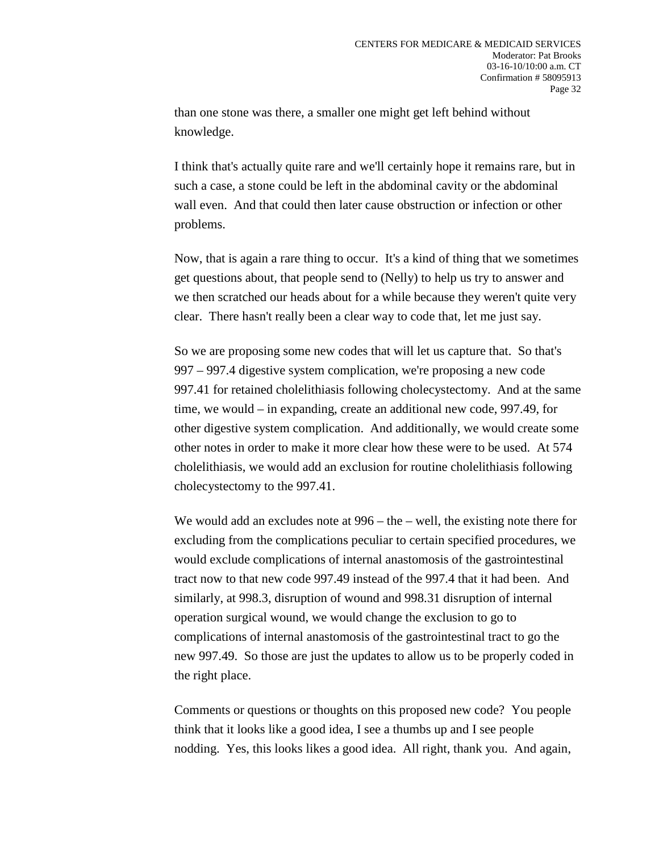than one stone was there, a smaller one might get left behind without knowledge.

I think that's actually quite rare and we'll certainly hope it remains rare, but in such a case, a stone could be left in the abdominal cavity or the abdominal wall even. And that could then later cause obstruction or infection or other problems.

Now, that is again a rare thing to occur. It's a kind of thing that we sometimes get questions about, that people send to (Nelly) to help us try to answer and we then scratched our heads about for a while because they weren't quite very clear. There hasn't really been a clear way to code that, let me just say.

So we are proposing some new codes that will let us capture that. So that's 997 – 997.4 digestive system complication, we're proposing a new code 997.41 for retained cholelithiasis following cholecystectomy. And at the same time, we would – in expanding, create an additional new code, 997.49, for other digestive system complication. And additionally, we would create some other notes in order to make it more clear how these were to be used. At 574 cholelithiasis, we would add an exclusion for routine cholelithiasis following cholecystectomy to the 997.41.

We would add an excludes note at 996 – the – well, the existing note there for excluding from the complications peculiar to certain specified procedures, we would exclude complications of internal anastomosis of the gastrointestinal tract now to that new code 997.49 instead of the 997.4 that it had been. And similarly, at 998.3, disruption of wound and 998.31 disruption of internal operation surgical wound, we would change the exclusion to go to complications of internal anastomosis of the gastrointestinal tract to go the new 997.49. So those are just the updates to allow us to be properly coded in the right place.

Comments or questions or thoughts on this proposed new code? You people think that it looks like a good idea, I see a thumbs up and I see people nodding. Yes, this looks likes a good idea. All right, thank you. And again,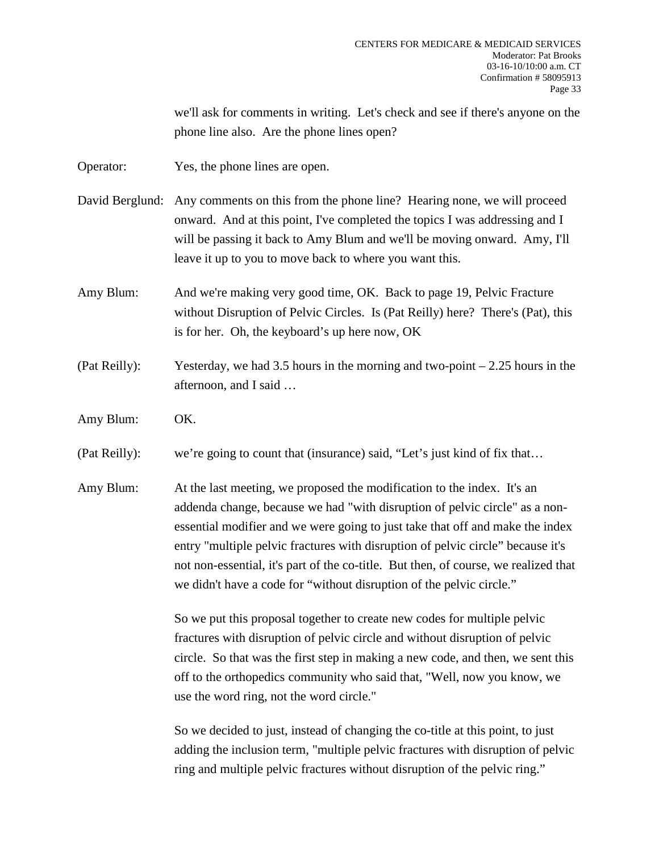we'll ask for comments in writing. Let's check and see if there's anyone on the phone line also. Are the phone lines open?

Operator: Yes, the phone lines are open.

- David Berglund: Any comments on this from the phone line? Hearing none, we will proceed onward. And at this point, I've completed the topics I was addressing and I will be passing it back to Amy Blum and we'll be moving onward. Amy, I'll leave it up to you to move back to where you want this.
- Amy Blum: And we're making very good time, OK. Back to page 19, Pelvic Fracture without Disruption of Pelvic Circles. Is (Pat Reilly) here? There's (Pat), this is for her. Oh, the keyboard's up here now, OK
- (Pat Reilly): Yesterday, we had 3.5 hours in the morning and two-point 2.25 hours in the afternoon, and I said …
- Amy Blum: OK.

(Pat Reilly): we're going to count that (insurance) said, "Let's just kind of fix that…

Amy Blum: At the last meeting, we proposed the modification to the index. It's an addenda change, because we had "with disruption of pelvic circle" as a nonessential modifier and we were going to just take that off and make the index entry "multiple pelvic fractures with disruption of pelvic circle" because it's not non-essential, it's part of the co-title. But then, of course, we realized that we didn't have a code for "without disruption of the pelvic circle."

> So we put this proposal together to create new codes for multiple pelvic fractures with disruption of pelvic circle and without disruption of pelvic circle. So that was the first step in making a new code, and then, we sent this off to the orthopedics community who said that, "Well, now you know, we use the word ring, not the word circle."

> So we decided to just, instead of changing the co-title at this point, to just adding the inclusion term, "multiple pelvic fractures with disruption of pelvic ring and multiple pelvic fractures without disruption of the pelvic ring."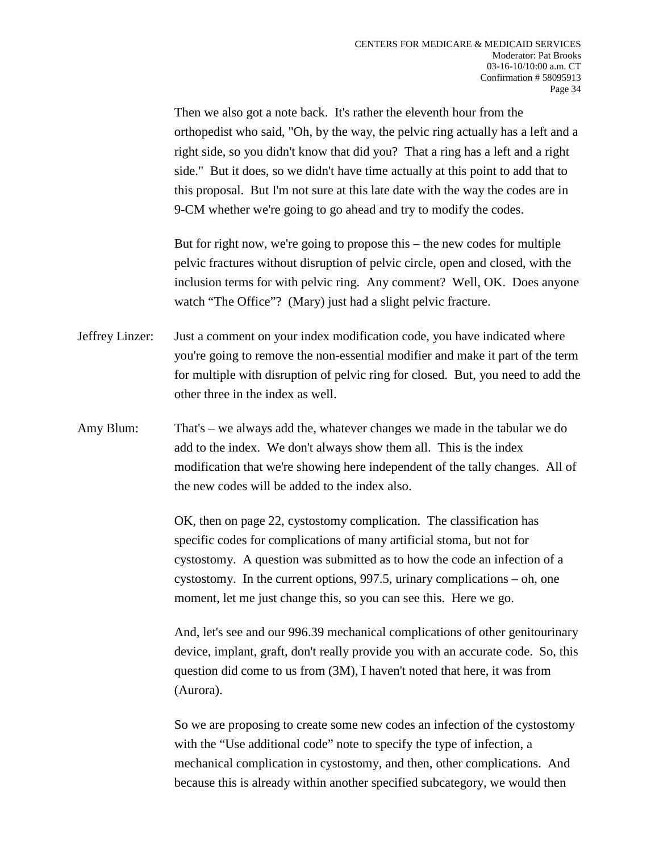Then we also got a note back. It's rather the eleventh hour from the orthopedist who said, "Oh, by the way, the pelvic ring actually has a left and a right side, so you didn't know that did you? That a ring has a left and a right side." But it does, so we didn't have time actually at this point to add that to this proposal. But I'm not sure at this late date with the way the codes are in 9-CM whether we're going to go ahead and try to modify the codes.

But for right now, we're going to propose this – the new codes for multiple pelvic fractures without disruption of pelvic circle, open and closed, with the inclusion terms for with pelvic ring. Any comment? Well, OK. Does anyone watch "The Office"? (Mary) just had a slight pelvic fracture.

- Jeffrey Linzer: Just a comment on your index modification code, you have indicated where you're going to remove the non-essential modifier and make it part of the term for multiple with disruption of pelvic ring for closed. But, you need to add the other three in the index as well.
- Amy Blum: That's we always add the, whatever changes we made in the tabular we do add to the index. We don't always show them all. This is the index modification that we're showing here independent of the tally changes. All of the new codes will be added to the index also.

OK, then on page 22, cystostomy complication. The classification has specific codes for complications of many artificial stoma, but not for cystostomy. A question was submitted as to how the code an infection of a cystostomy. In the current options, 997.5, urinary complications – oh, one moment, let me just change this, so you can see this. Here we go.

And, let's see and our 996.39 mechanical complications of other genitourinary device, implant, graft, don't really provide you with an accurate code. So, this question did come to us from (3M), I haven't noted that here, it was from (Aurora).

So we are proposing to create some new codes an infection of the cystostomy with the "Use additional code" note to specify the type of infection, a mechanical complication in cystostomy, and then, other complications. And because this is already within another specified subcategory, we would then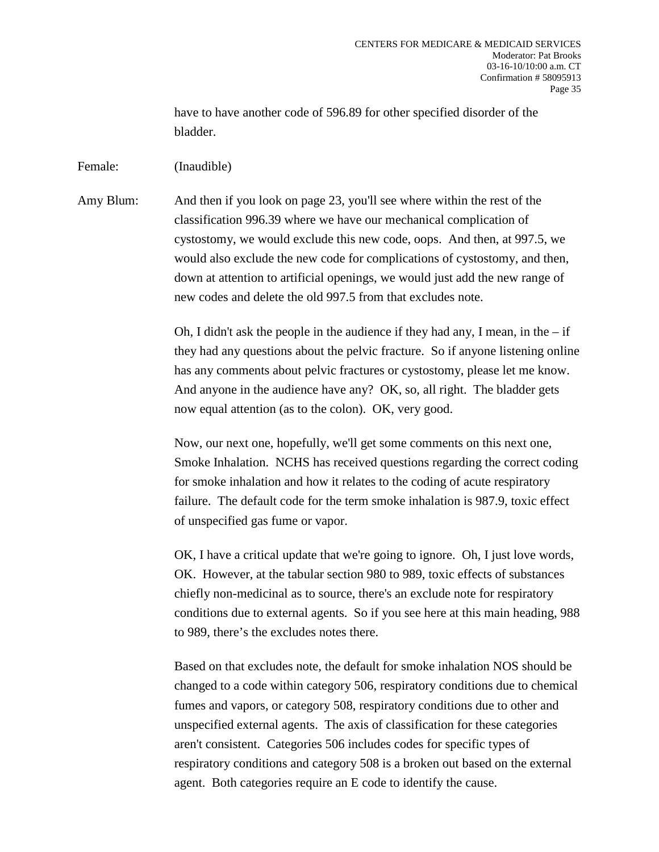have to have another code of 596.89 for other specified disorder of the bladder.

Female: (Inaudible)

Amy Blum: And then if you look on page 23, you'll see where within the rest of the classification 996.39 where we have our mechanical complication of cystostomy, we would exclude this new code, oops. And then, at 997.5, we would also exclude the new code for complications of cystostomy, and then, down at attention to artificial openings, we would just add the new range of new codes and delete the old 997.5 from that excludes note.

> Oh, I didn't ask the people in the audience if they had any, I mean, in the  $-$  if they had any questions about the pelvic fracture. So if anyone listening online has any comments about pelvic fractures or cystostomy, please let me know. And anyone in the audience have any? OK, so, all right. The bladder gets now equal attention (as to the colon). OK, very good.

> Now, our next one, hopefully, we'll get some comments on this next one, Smoke Inhalation. NCHS has received questions regarding the correct coding for smoke inhalation and how it relates to the coding of acute respiratory failure. The default code for the term smoke inhalation is 987.9, toxic effect of unspecified gas fume or vapor.

> OK, I have a critical update that we're going to ignore. Oh, I just love words, OK. However, at the tabular section 980 to 989, toxic effects of substances chiefly non-medicinal as to source, there's an exclude note for respiratory conditions due to external agents. So if you see here at this main heading, 988 to 989, there's the excludes notes there.

> Based on that excludes note, the default for smoke inhalation NOS should be changed to a code within category 506, respiratory conditions due to chemical fumes and vapors, or category 508, respiratory conditions due to other and unspecified external agents. The axis of classification for these categories aren't consistent. Categories 506 includes codes for specific types of respiratory conditions and category 508 is a broken out based on the external agent. Both categories require an E code to identify the cause.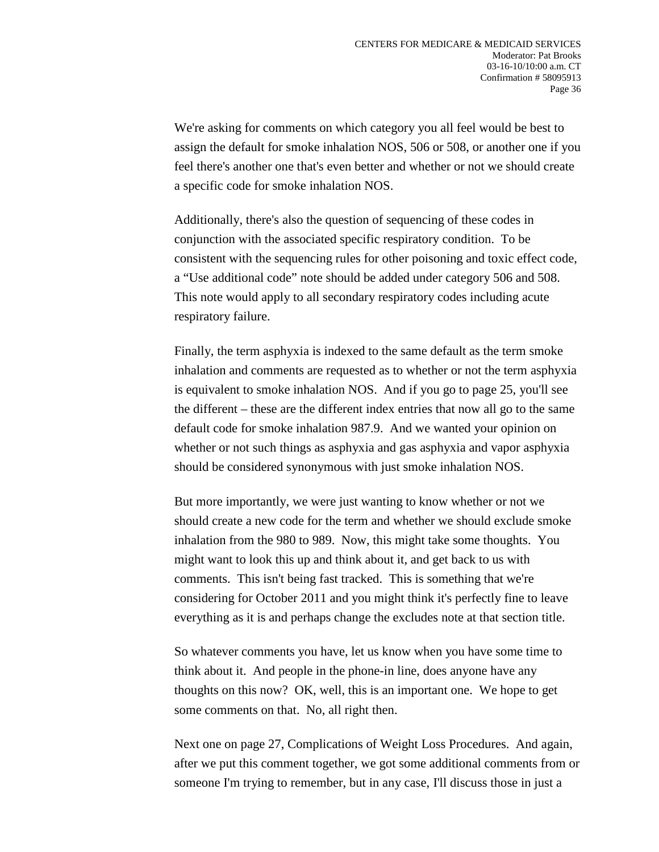We're asking for comments on which category you all feel would be best to assign the default for smoke inhalation NOS, 506 or 508, or another one if you feel there's another one that's even better and whether or not we should create a specific code for smoke inhalation NOS.

Additionally, there's also the question of sequencing of these codes in conjunction with the associated specific respiratory condition. To be consistent with the sequencing rules for other poisoning and toxic effect code, a "Use additional code" note should be added under category 506 and 508. This note would apply to all secondary respiratory codes including acute respiratory failure.

Finally, the term asphyxia is indexed to the same default as the term smoke inhalation and comments are requested as to whether or not the term asphyxia is equivalent to smoke inhalation NOS. And if you go to page 25, you'll see the different – these are the different index entries that now all go to the same default code for smoke inhalation 987.9. And we wanted your opinion on whether or not such things as asphyxia and gas asphyxia and vapor asphyxia should be considered synonymous with just smoke inhalation NOS.

But more importantly, we were just wanting to know whether or not we should create a new code for the term and whether we should exclude smoke inhalation from the 980 to 989. Now, this might take some thoughts. You might want to look this up and think about it, and get back to us with comments. This isn't being fast tracked. This is something that we're considering for October 2011 and you might think it's perfectly fine to leave everything as it is and perhaps change the excludes note at that section title.

So whatever comments you have, let us know when you have some time to think about it. And people in the phone-in line, does anyone have any thoughts on this now? OK, well, this is an important one. We hope to get some comments on that. No, all right then.

Next one on page 27, Complications of Weight Loss Procedures. And again, after we put this comment together, we got some additional comments from or someone I'm trying to remember, but in any case, I'll discuss those in just a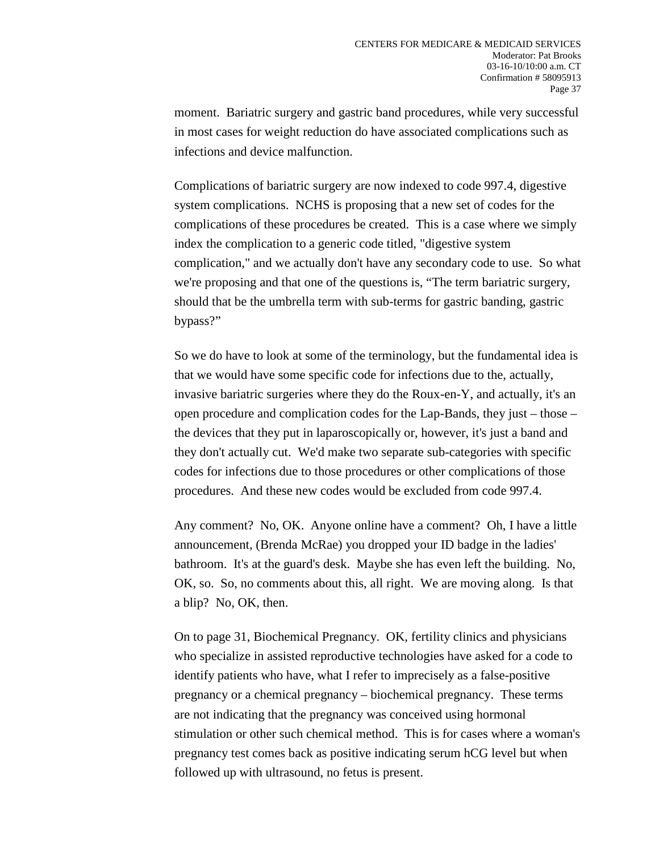moment. Bariatric surgery and gastric band procedures, while very successful in most cases for weight reduction do have associated complications such as infections and device malfunction.

Complications of bariatric surgery are now indexed to code 997.4, digestive system complications. NCHS is proposing that a new set of codes for the complications of these procedures be created. This is a case where we simply index the complication to a generic code titled, "digestive system complication," and we actually don't have any secondary code to use. So what we're proposing and that one of the questions is, "The term bariatric surgery, should that be the umbrella term with sub-terms for gastric banding, gastric bypass?"

So we do have to look at some of the terminology, but the fundamental idea is that we would have some specific code for infections due to the, actually, invasive bariatric surgeries where they do the Roux-en-Y, and actually, it's an open procedure and complication codes for the Lap-Bands, they just – those – the devices that they put in laparoscopically or, however, it's just a band and they don't actually cut. We'd make two separate sub-categories with specific codes for infections due to those procedures or other complications of those procedures. And these new codes would be excluded from code 997.4.

Any comment? No, OK. Anyone online have a comment? Oh, I have a little announcement, (Brenda McRae) you dropped your ID badge in the ladies' bathroom. It's at the guard's desk. Maybe she has even left the building. No, OK, so. So, no comments about this, all right. We are moving along. Is that a blip? No, OK, then.

On to page 31, Biochemical Pregnancy. OK, fertility clinics and physicians who specialize in assisted reproductive technologies have asked for a code to identify patients who have, what I refer to imprecisely as a false-positive pregnancy or a chemical pregnancy – biochemical pregnancy. These terms are not indicating that the pregnancy was conceived using hormonal stimulation or other such chemical method. This is for cases where a woman's pregnancy test comes back as positive indicating serum hCG level but when followed up with ultrasound, no fetus is present.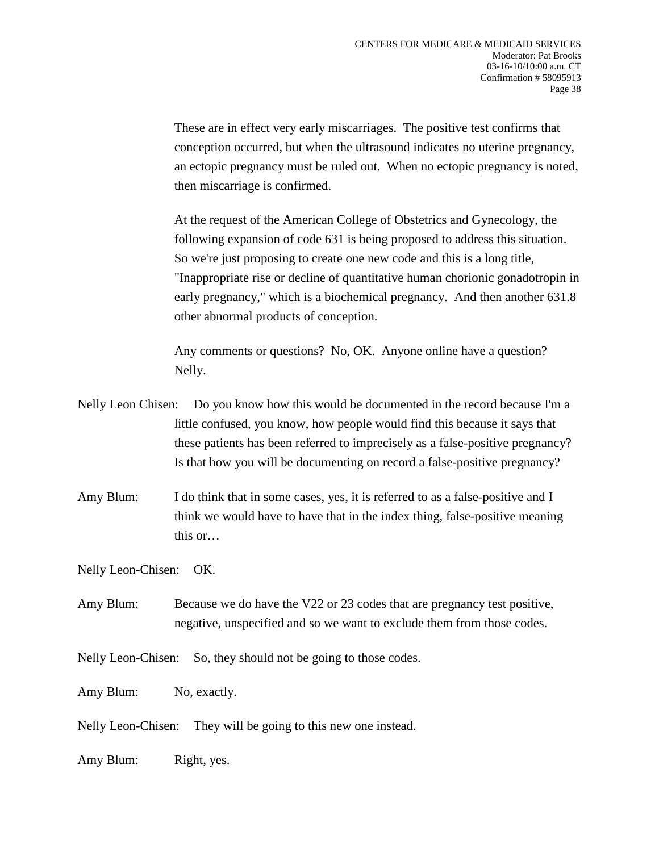These are in effect very early miscarriages. The positive test confirms that conception occurred, but when the ultrasound indicates no uterine pregnancy, an ectopic pregnancy must be ruled out. When no ectopic pregnancy is noted, then miscarriage is confirmed.

At the request of the American College of Obstetrics and Gynecology, the following expansion of code 631 is being proposed to address this situation. So we're just proposing to create one new code and this is a long title, "Inappropriate rise or decline of quantitative human chorionic gonadotropin in early pregnancy," which is a biochemical pregnancy. And then another 631.8 other abnormal products of conception.

Any comments or questions? No, OK. Anyone online have a question? Nelly.

- Nelly Leon Chisen: Do you know how this would be documented in the record because I'm a little confused, you know, how people would find this because it says that these patients has been referred to imprecisely as a false-positive pregnancy? Is that how you will be documenting on record a false-positive pregnancy?
- Amy Blum: I do think that in some cases, yes, it is referred to as a false-positive and I think we would have to have that in the index thing, false-positive meaning this or…

Nelly Leon-Chisen: OK.

- Amy Blum: Because we do have the V22 or 23 codes that are pregnancy test positive, negative, unspecified and so we want to exclude them from those codes.
- Nelly Leon-Chisen: So, they should not be going to those codes.

Amy Blum: No, exactly.

- Nelly Leon-Chisen: They will be going to this new one instead.
- Amy Blum: Right, yes.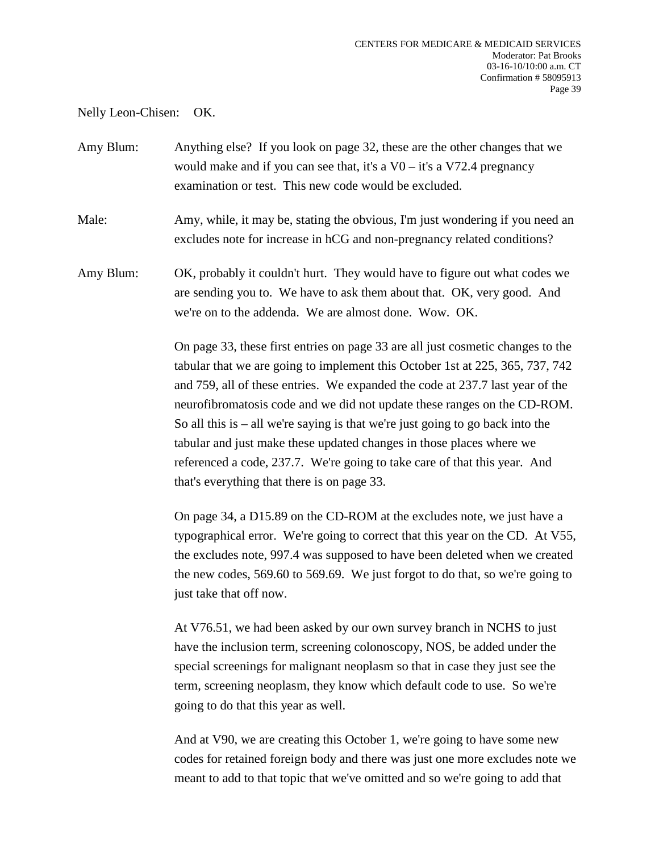Nelly Leon-Chisen: OK.

Amy Blum: Anything else? If you look on page 32, these are the other changes that we would make and if you can see that, it's a  $V0 - i$ t's a  $V72.4$  pregnancy examination or test. This new code would be excluded.

Male: Amy, while, it may be, stating the obvious, I'm just wondering if you need an excludes note for increase in hCG and non-pregnancy related conditions?

Amy Blum: OK, probably it couldn't hurt. They would have to figure out what codes we are sending you to. We have to ask them about that. OK, very good. And we're on to the addenda. We are almost done. Wow. OK.

> On page 33, these first entries on page 33 are all just cosmetic changes to the tabular that we are going to implement this October 1st at 225, 365, 737, 742 and 759, all of these entries. We expanded the code at 237.7 last year of the neurofibromatosis code and we did not update these ranges on the CD-ROM. So all this is – all we're saying is that we're just going to go back into the tabular and just make these updated changes in those places where we referenced a code, 237.7. We're going to take care of that this year. And that's everything that there is on page 33.

On page 34, a D15.89 on the CD-ROM at the excludes note, we just have a typographical error. We're going to correct that this year on the CD. At V55, the excludes note, 997.4 was supposed to have been deleted when we created the new codes, 569.60 to 569.69. We just forgot to do that, so we're going to just take that off now.

At V76.51, we had been asked by our own survey branch in NCHS to just have the inclusion term, screening colonoscopy, NOS, be added under the special screenings for malignant neoplasm so that in case they just see the term, screening neoplasm, they know which default code to use. So we're going to do that this year as well.

And at V90, we are creating this October 1, we're going to have some new codes for retained foreign body and there was just one more excludes note we meant to add to that topic that we've omitted and so we're going to add that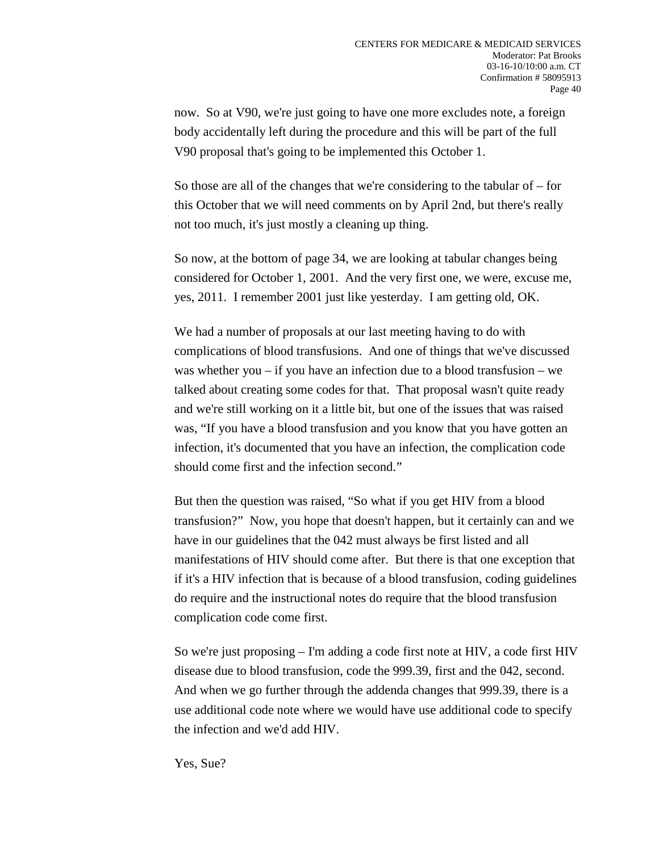now. So at V90, we're just going to have one more excludes note, a foreign body accidentally left during the procedure and this will be part of the full V90 proposal that's going to be implemented this October 1.

So those are all of the changes that we're considering to the tabular of – for this October that we will need comments on by April 2nd, but there's really not too much, it's just mostly a cleaning up thing.

So now, at the bottom of page 34, we are looking at tabular changes being considered for October 1, 2001. And the very first one, we were, excuse me, yes, 2011. I remember 2001 just like yesterday. I am getting old, OK.

We had a number of proposals at our last meeting having to do with complications of blood transfusions. And one of things that we've discussed was whether you – if you have an infection due to a blood transfusion – we talked about creating some codes for that. That proposal wasn't quite ready and we're still working on it a little bit, but one of the issues that was raised was, "If you have a blood transfusion and you know that you have gotten an infection, it's documented that you have an infection, the complication code should come first and the infection second."

But then the question was raised, "So what if you get HIV from a blood transfusion?" Now, you hope that doesn't happen, but it certainly can and we have in our guidelines that the 042 must always be first listed and all manifestations of HIV should come after. But there is that one exception that if it's a HIV infection that is because of a blood transfusion, coding guidelines do require and the instructional notes do require that the blood transfusion complication code come first.

So we're just proposing – I'm adding a code first note at HIV, a code first HIV disease due to blood transfusion, code the 999.39, first and the 042, second. And when we go further through the addenda changes that 999.39, there is a use additional code note where we would have use additional code to specify the infection and we'd add HIV.

Yes, Sue?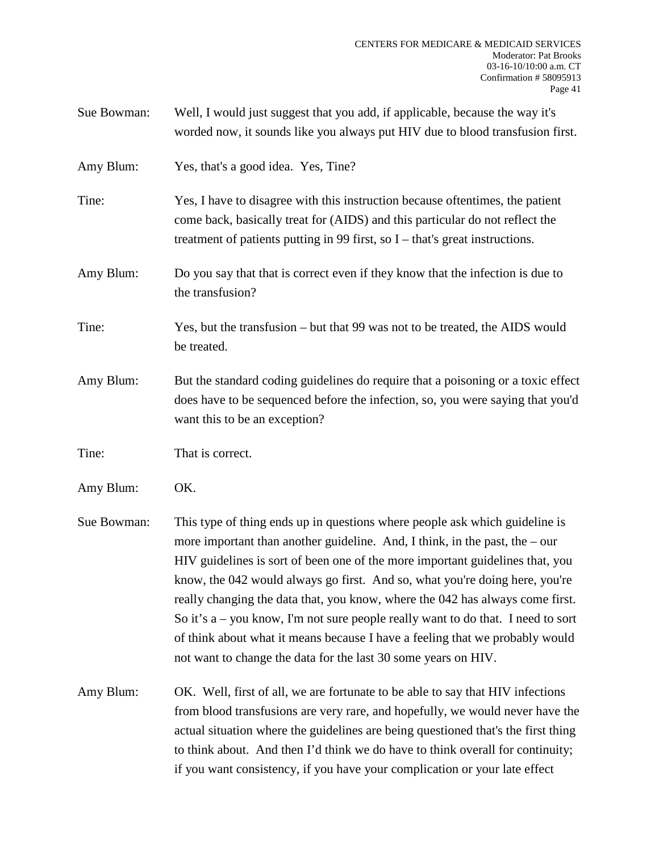| Sue Bowman: | Well, I would just suggest that you add, if applicable, because the way it's<br>worded now, it sounds like you always put HIV due to blood transfusion first.                                                                                                                                                                                                                                                                                                                                                                                                                                                                                         |
|-------------|-------------------------------------------------------------------------------------------------------------------------------------------------------------------------------------------------------------------------------------------------------------------------------------------------------------------------------------------------------------------------------------------------------------------------------------------------------------------------------------------------------------------------------------------------------------------------------------------------------------------------------------------------------|
| Amy Blum:   | Yes, that's a good idea. Yes, Tine?                                                                                                                                                                                                                                                                                                                                                                                                                                                                                                                                                                                                                   |
| Tine:       | Yes, I have to disagree with this instruction because oftentimes, the patient<br>come back, basically treat for (AIDS) and this particular do not reflect the<br>treatment of patients putting in 99 first, so $I$ – that's great instructions.                                                                                                                                                                                                                                                                                                                                                                                                       |
| Amy Blum:   | Do you say that that is correct even if they know that the infection is due to<br>the transfusion?                                                                                                                                                                                                                                                                                                                                                                                                                                                                                                                                                    |
| Tine:       | Yes, but the transfusion – but that 99 was not to be treated, the AIDS would<br>be treated.                                                                                                                                                                                                                                                                                                                                                                                                                                                                                                                                                           |
| Amy Blum:   | But the standard coding guidelines do require that a poisoning or a toxic effect<br>does have to be sequenced before the infection, so, you were saying that you'd<br>want this to be an exception?                                                                                                                                                                                                                                                                                                                                                                                                                                                   |
| Tine:       | That is correct.                                                                                                                                                                                                                                                                                                                                                                                                                                                                                                                                                                                                                                      |
| Amy Blum:   | OK.                                                                                                                                                                                                                                                                                                                                                                                                                                                                                                                                                                                                                                                   |
| Sue Bowman: | This type of thing ends up in questions where people ask which guideline is<br>more important than another guideline. And, I think, in the past, the $-$ our<br>HIV guidelines is sort of been one of the more important guidelines that, you<br>know, the 042 would always go first. And so, what you're doing here, you're<br>really changing the data that, you know, where the 042 has always come first.<br>So it's $a$ – you know, I'm not sure people really want to do that. I need to sort<br>of think about what it means because I have a feeling that we probably would<br>not want to change the data for the last 30 some years on HIV. |
| Amy Blum:   | OK. Well, first of all, we are fortunate to be able to say that HIV infections<br>from blood transfusions are very rare, and hopefully, we would never have the<br>actual situation where the guidelines are being questioned that's the first thing<br>to think about. And then I'd think we do have to think overall for continuity;                                                                                                                                                                                                                                                                                                                |

if you want consistency, if you have your complication or your late effect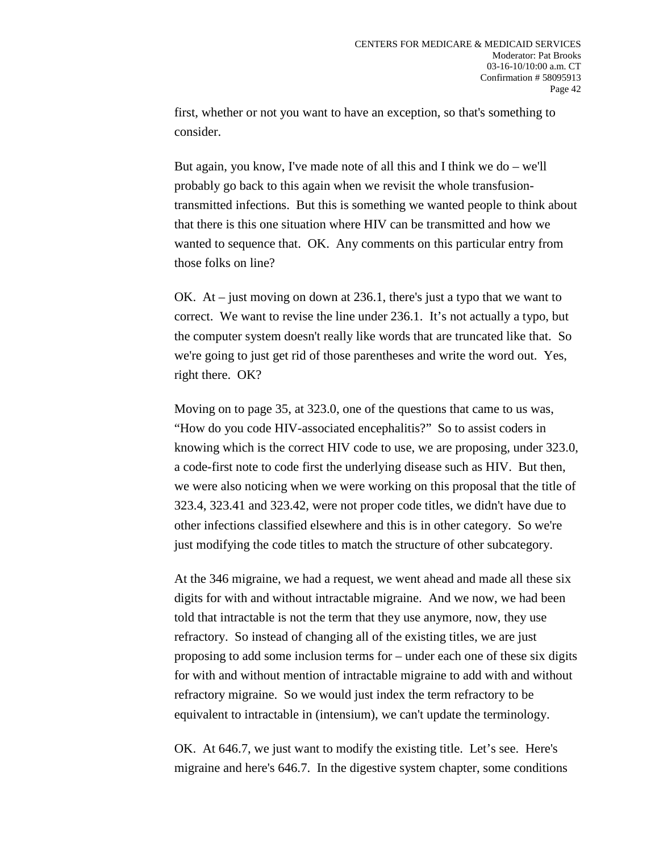first, whether or not you want to have an exception, so that's something to consider.

But again, you know, I've made note of all this and I think we do – we'll probably go back to this again when we revisit the whole transfusiontransmitted infections. But this is something we wanted people to think about that there is this one situation where HIV can be transmitted and how we wanted to sequence that. OK. Any comments on this particular entry from those folks on line?

OK. At – just moving on down at 236.1, there's just a typo that we want to correct. We want to revise the line under 236.1. It's not actually a typo, but the computer system doesn't really like words that are truncated like that. So we're going to just get rid of those parentheses and write the word out. Yes, right there. OK?

Moving on to page 35, at 323.0, one of the questions that came to us was, "How do you code HIV-associated encephalitis?" So to assist coders in knowing which is the correct HIV code to use, we are proposing, under 323.0, a code-first note to code first the underlying disease such as HIV. But then, we were also noticing when we were working on this proposal that the title of 323.4, 323.41 and 323.42, were not proper code titles, we didn't have due to other infections classified elsewhere and this is in other category. So we're just modifying the code titles to match the structure of other subcategory.

At the 346 migraine, we had a request, we went ahead and made all these six digits for with and without intractable migraine. And we now, we had been told that intractable is not the term that they use anymore, now, they use refractory. So instead of changing all of the existing titles, we are just proposing to add some inclusion terms for – under each one of these six digits for with and without mention of intractable migraine to add with and without refractory migraine. So we would just index the term refractory to be equivalent to intractable in (intensium), we can't update the terminology.

OK. At 646.7, we just want to modify the existing title. Let's see. Here's migraine and here's 646.7. In the digestive system chapter, some conditions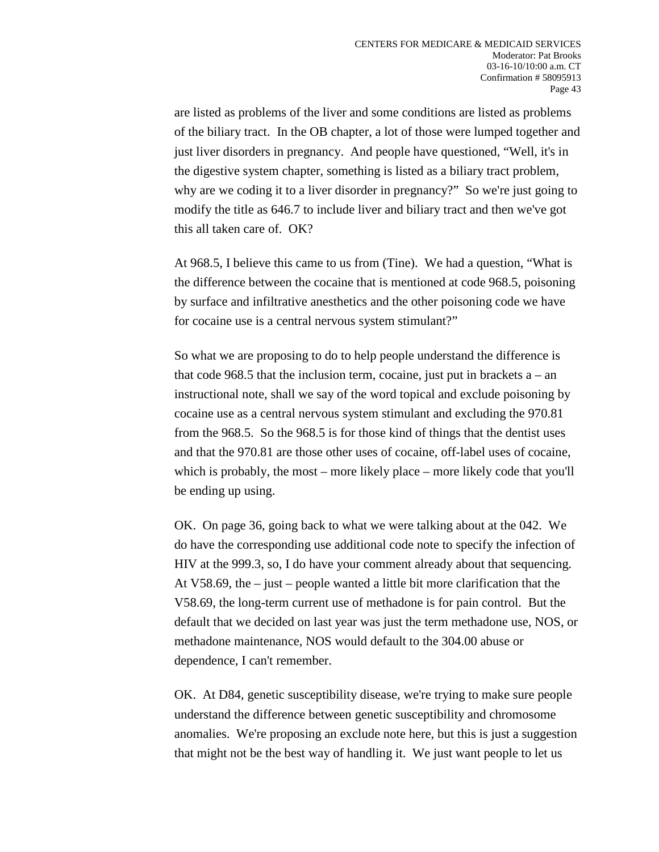are listed as problems of the liver and some conditions are listed as problems of the biliary tract. In the OB chapter, a lot of those were lumped together and just liver disorders in pregnancy. And people have questioned, "Well, it's in the digestive system chapter, something is listed as a biliary tract problem, why are we coding it to a liver disorder in pregnancy?" So we're just going to modify the title as 646.7 to include liver and biliary tract and then we've got this all taken care of. OK?

At 968.5, I believe this came to us from (Tine). We had a question, "What is the difference between the cocaine that is mentioned at code 968.5, poisoning by surface and infiltrative anesthetics and the other poisoning code we have for cocaine use is a central nervous system stimulant?"

So what we are proposing to do to help people understand the difference is that code 968.5 that the inclusion term, cocaine, just put in brackets  $a - an$ instructional note, shall we say of the word topical and exclude poisoning by cocaine use as a central nervous system stimulant and excluding the 970.81 from the 968.5. So the 968.5 is for those kind of things that the dentist uses and that the 970.81 are those other uses of cocaine, off-label uses of cocaine, which is probably, the most – more likely place – more likely code that you'll be ending up using.

OK. On page 36, going back to what we were talking about at the 042. We do have the corresponding use additional code note to specify the infection of HIV at the 999.3, so, I do have your comment already about that sequencing. At V58.69, the – just – people wanted a little bit more clarification that the V58.69, the long-term current use of methadone is for pain control. But the default that we decided on last year was just the term methadone use, NOS, or methadone maintenance, NOS would default to the 304.00 abuse or dependence, I can't remember.

OK. At D84, genetic susceptibility disease, we're trying to make sure people understand the difference between genetic susceptibility and chromosome anomalies. We're proposing an exclude note here, but this is just a suggestion that might not be the best way of handling it. We just want people to let us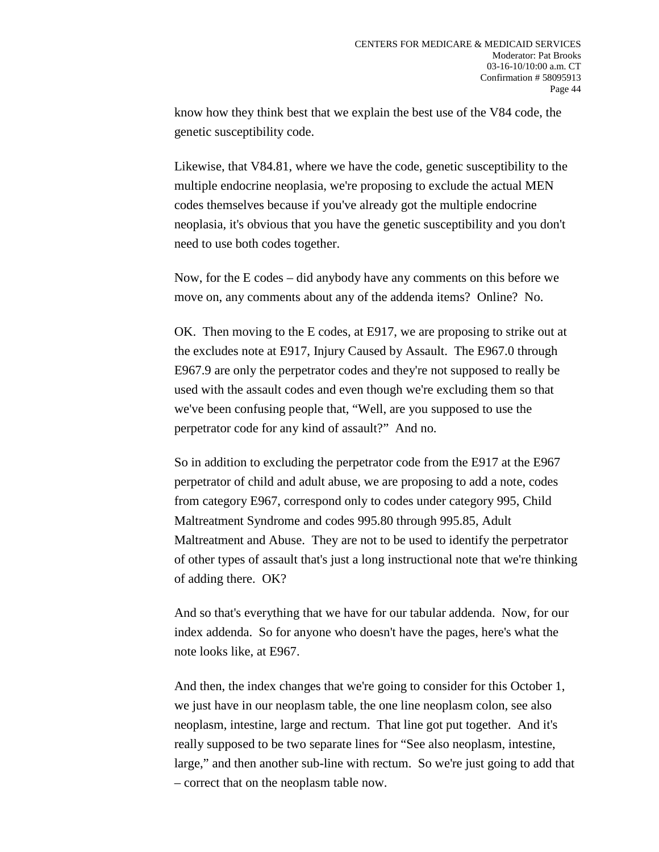know how they think best that we explain the best use of the V84 code, the genetic susceptibility code.

Likewise, that V84.81, where we have the code, genetic susceptibility to the multiple endocrine neoplasia, we're proposing to exclude the actual MEN codes themselves because if you've already got the multiple endocrine neoplasia, it's obvious that you have the genetic susceptibility and you don't need to use both codes together.

Now, for the E codes – did anybody have any comments on this before we move on, any comments about any of the addenda items? Online? No.

OK. Then moving to the E codes, at E917, we are proposing to strike out at the excludes note at E917, Injury Caused by Assault. The E967.0 through E967.9 are only the perpetrator codes and they're not supposed to really be used with the assault codes and even though we're excluding them so that we've been confusing people that, "Well, are you supposed to use the perpetrator code for any kind of assault?" And no.

So in addition to excluding the perpetrator code from the E917 at the E967 perpetrator of child and adult abuse, we are proposing to add a note, codes from category E967, correspond only to codes under category 995, Child Maltreatment Syndrome and codes 995.80 through 995.85, Adult Maltreatment and Abuse. They are not to be used to identify the perpetrator of other types of assault that's just a long instructional note that we're thinking of adding there. OK?

And so that's everything that we have for our tabular addenda. Now, for our index addenda. So for anyone who doesn't have the pages, here's what the note looks like, at E967.

And then, the index changes that we're going to consider for this October 1, we just have in our neoplasm table, the one line neoplasm colon, see also neoplasm, intestine, large and rectum. That line got put together. And it's really supposed to be two separate lines for "See also neoplasm, intestine, large," and then another sub-line with rectum. So we're just going to add that – correct that on the neoplasm table now.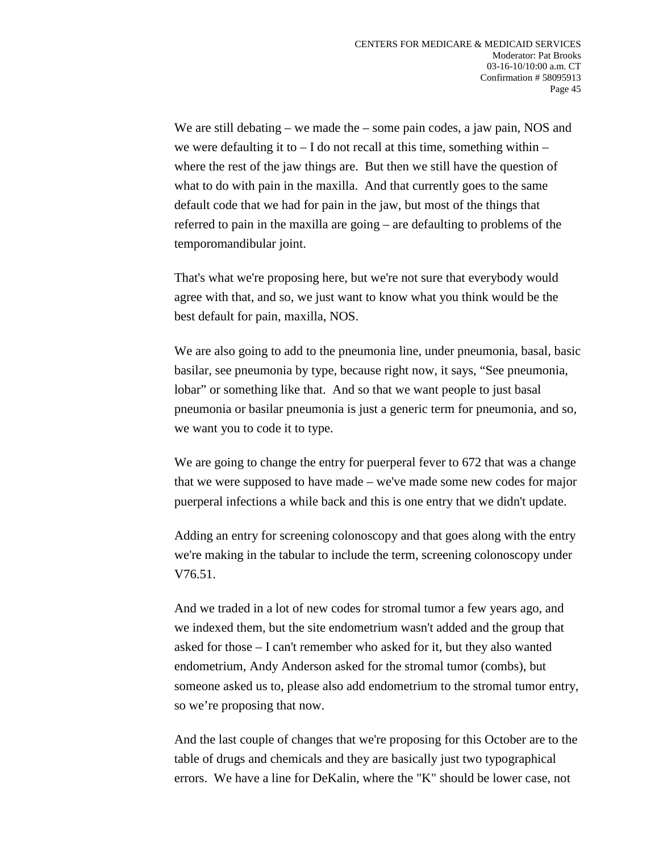We are still debating – we made the – some pain codes, a jaw pain, NOS and we were defaulting it to  $- I$  do not recall at this time, something within  $- I$ where the rest of the jaw things are. But then we still have the question of what to do with pain in the maxilla. And that currently goes to the same default code that we had for pain in the jaw, but most of the things that referred to pain in the maxilla are going – are defaulting to problems of the temporomandibular joint.

That's what we're proposing here, but we're not sure that everybody would agree with that, and so, we just want to know what you think would be the best default for pain, maxilla, NOS.

We are also going to add to the pneumonia line, under pneumonia, basal, basic basilar, see pneumonia by type, because right now, it says, "See pneumonia, lobar" or something like that. And so that we want people to just basal pneumonia or basilar pneumonia is just a generic term for pneumonia, and so, we want you to code it to type.

We are going to change the entry for puerperal fever to 672 that was a change that we were supposed to have made – we've made some new codes for major puerperal infections a while back and this is one entry that we didn't update.

Adding an entry for screening colonoscopy and that goes along with the entry we're making in the tabular to include the term, screening colonoscopy under V76.51.

And we traded in a lot of new codes for stromal tumor a few years ago, and we indexed them, but the site endometrium wasn't added and the group that asked for those – I can't remember who asked for it, but they also wanted endometrium, Andy Anderson asked for the stromal tumor (combs), but someone asked us to, please also add endometrium to the stromal tumor entry, so we're proposing that now.

And the last couple of changes that we're proposing for this October are to the table of drugs and chemicals and they are basically just two typographical errors. We have a line for DeKalin, where the "K" should be lower case, not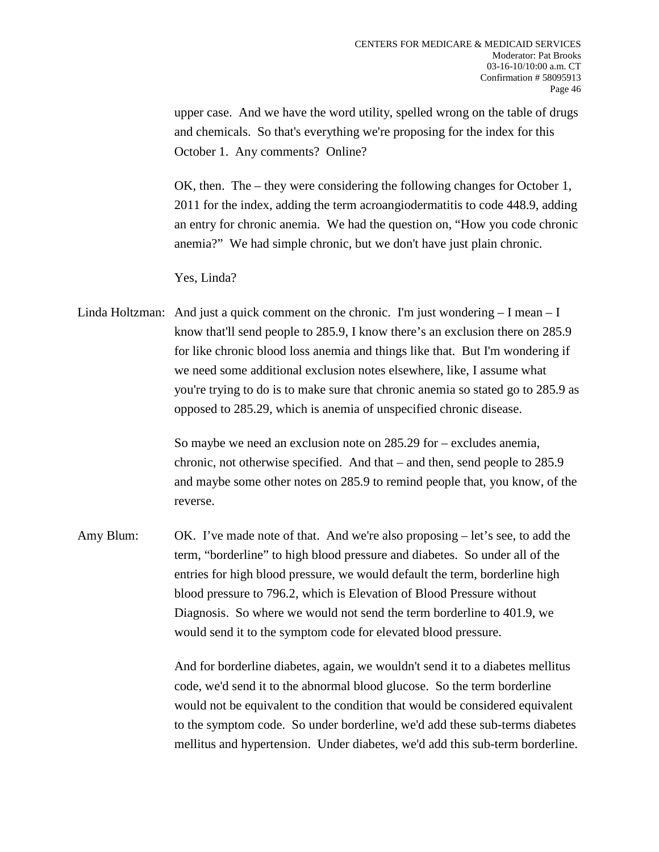upper case. And we have the word utility, spelled wrong on the table of drugs and chemicals. So that's everything we're proposing for the index for this October 1. Any comments? Online?

OK, then. The – they were considering the following changes for October 1, 2011 for the index, adding the term acroangiodermatitis to code 448.9, adding an entry for chronic anemia. We had the question on, "How you code chronic anemia?" We had simple chronic, but we don't have just plain chronic.

Yes, Linda?

Linda Holtzman: And just a quick comment on the chronic. I'm just wondering  $-I$  mean  $-I$ know that'll send people to 285.9, I know there's an exclusion there on 285.9 for like chronic blood loss anemia and things like that. But I'm wondering if we need some additional exclusion notes elsewhere, like, I assume what you're trying to do is to make sure that chronic anemia so stated go to 285.9 as opposed to 285.29, which is anemia of unspecified chronic disease.

> So maybe we need an exclusion note on 285.29 for – excludes anemia, chronic, not otherwise specified. And that – and then, send people to 285.9 and maybe some other notes on 285.9 to remind people that, you know, of the reverse.

Amy Blum: OK. I've made note of that. And we're also proposing – let's see, to add the term, "borderline" to high blood pressure and diabetes. So under all of the entries for high blood pressure, we would default the term, borderline high blood pressure to 796.2, which is Elevation of Blood Pressure without Diagnosis. So where we would not send the term borderline to 401.9, we would send it to the symptom code for elevated blood pressure.

> And for borderline diabetes, again, we wouldn't send it to a diabetes mellitus code, we'd send it to the abnormal blood glucose. So the term borderline would not be equivalent to the condition that would be considered equivalent to the symptom code. So under borderline, we'd add these sub-terms diabetes mellitus and hypertension. Under diabetes, we'd add this sub-term borderline.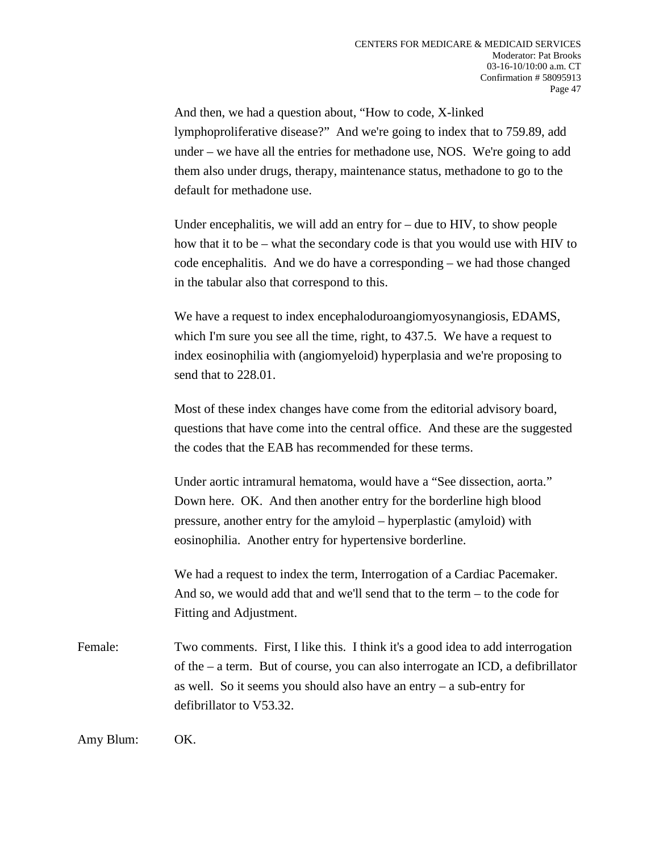And then, we had a question about, "How to code, X-linked lymphoproliferative disease?" And we're going to index that to 759.89, add under – we have all the entries for methadone use, NOS. We're going to add them also under drugs, therapy, maintenance status, methadone to go to the default for methadone use.

Under encephalitis, we will add an entry for – due to HIV, to show people how that it to be – what the secondary code is that you would use with HIV to code encephalitis. And we do have a corresponding – we had those changed in the tabular also that correspond to this.

We have a request to index encephaloduroangiomyosynangiosis, EDAMS, which I'm sure you see all the time, right, to 437.5. We have a request to index eosinophilia with (angiomyeloid) hyperplasia and we're proposing to send that to 228.01.

Most of these index changes have come from the editorial advisory board, questions that have come into the central office. And these are the suggested the codes that the EAB has recommended for these terms.

Under aortic intramural hematoma, would have a "See dissection, aorta." Down here. OK. And then another entry for the borderline high blood pressure, another entry for the amyloid – hyperplastic (amyloid) with eosinophilia. Another entry for hypertensive borderline.

We had a request to index the term, Interrogation of a Cardiac Pacemaker. And so, we would add that and we'll send that to the term – to the code for Fitting and Adjustment.

Female: Two comments. First, I like this. I think it's a good idea to add interrogation of the – a term. But of course, you can also interrogate an ICD, a defibrillator as well. So it seems you should also have an entry – a sub-entry for defibrillator to V53.32.

Amy Blum: OK.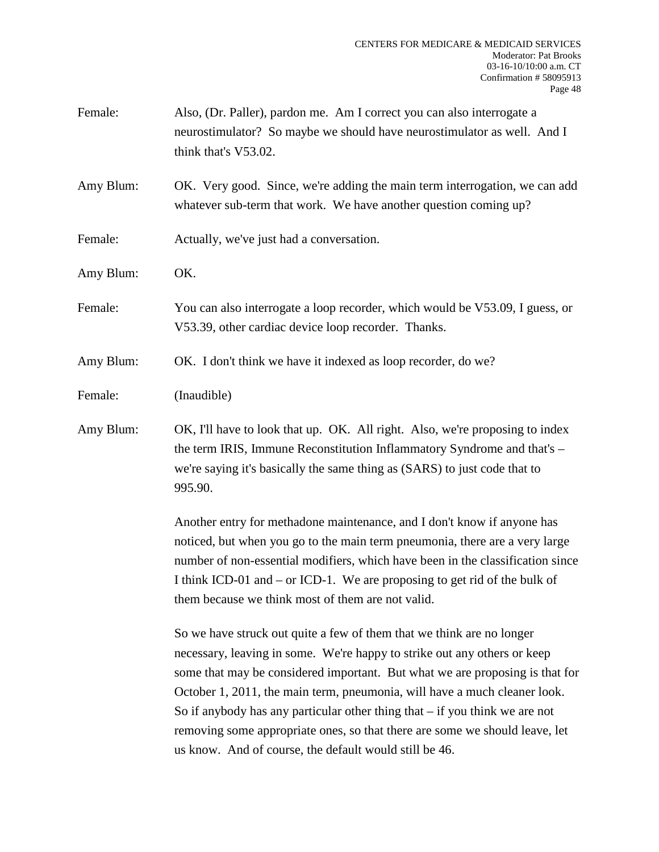| Female:   | Also, (Dr. Paller), pardon me. Am I correct you can also interrogate a<br>neurostimulator? So maybe we should have neurostimulator as well. And I<br>think that's V53.02.                                                                                                                                                                                                                                                                                                                                                                |
|-----------|------------------------------------------------------------------------------------------------------------------------------------------------------------------------------------------------------------------------------------------------------------------------------------------------------------------------------------------------------------------------------------------------------------------------------------------------------------------------------------------------------------------------------------------|
| Amy Blum: | OK. Very good. Since, we're adding the main term interrogation, we can add<br>whatever sub-term that work. We have another question coming up?                                                                                                                                                                                                                                                                                                                                                                                           |
| Female:   | Actually, we've just had a conversation.                                                                                                                                                                                                                                                                                                                                                                                                                                                                                                 |
| Amy Blum: | OK.                                                                                                                                                                                                                                                                                                                                                                                                                                                                                                                                      |
| Female:   | You can also interrogate a loop recorder, which would be V53.09, I guess, or<br>V53.39, other cardiac device loop recorder. Thanks.                                                                                                                                                                                                                                                                                                                                                                                                      |
| Amy Blum: | OK. I don't think we have it indexed as loop recorder, do we?                                                                                                                                                                                                                                                                                                                                                                                                                                                                            |
| Female:   | (Inaudible)                                                                                                                                                                                                                                                                                                                                                                                                                                                                                                                              |
| Amy Blum: | OK, I'll have to look that up. OK. All right. Also, we're proposing to index<br>the term IRIS, Immune Reconstitution Inflammatory Syndrome and that's -<br>we're saying it's basically the same thing as (SARS) to just code that to<br>995.90.                                                                                                                                                                                                                                                                                          |
|           | Another entry for methadone maintenance, and I don't know if anyone has<br>noticed, but when you go to the main term pneumonia, there are a very large<br>number of non-essential modifiers, which have been in the classification since<br>I think ICD-01 and – or ICD-1. We are proposing to get rid of the bulk of<br>them because we think most of them are not valid.                                                                                                                                                               |
|           | So we have struck out quite a few of them that we think are no longer<br>necessary, leaving in some. We're happy to strike out any others or keep<br>some that may be considered important. But what we are proposing is that for<br>October 1, 2011, the main term, pneumonia, will have a much cleaner look.<br>So if anybody has any particular other thing that $-$ if you think we are not<br>removing some appropriate ones, so that there are some we should leave, let<br>us know. And of course, the default would still be 46. |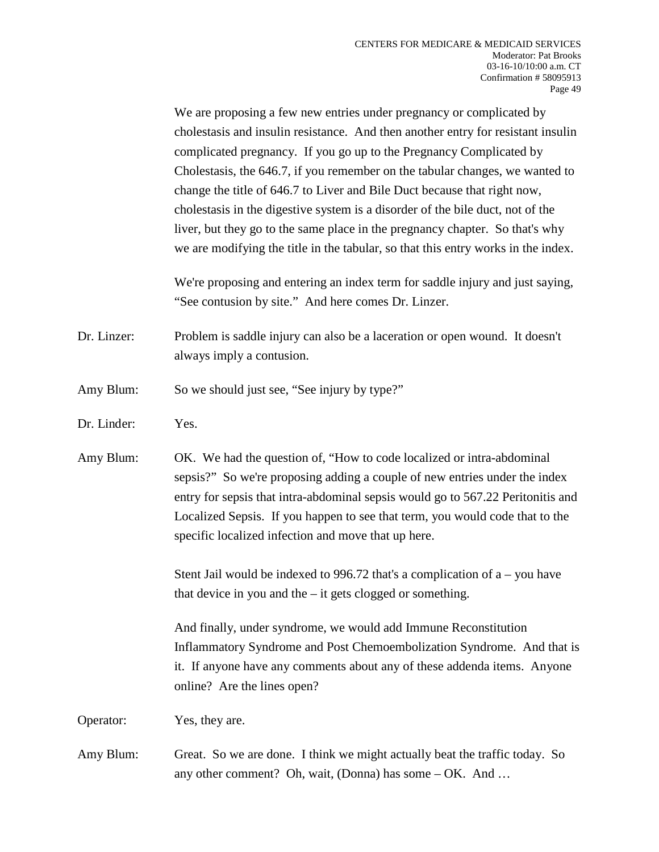We are proposing a few new entries under pregnancy or complicated by cholestasis and insulin resistance. And then another entry for resistant insulin complicated pregnancy. If you go up to the Pregnancy Complicated by Cholestasis, the 646.7, if you remember on the tabular changes, we wanted to change the title of 646.7 to Liver and Bile Duct because that right now, cholestasis in the digestive system is a disorder of the bile duct, not of the liver, but they go to the same place in the pregnancy chapter. So that's why we are modifying the title in the tabular, so that this entry works in the index.

We're proposing and entering an index term for saddle injury and just saying, "See contusion by site." And here comes Dr. Linzer.

- Dr. Linzer: Problem is saddle injury can also be a laceration or open wound. It doesn't always imply a contusion.
- Amy Blum: So we should just see, "See injury by type?"
- Dr. Linder: Yes.

Amy Blum: OK. We had the question of, "How to code localized or intra-abdominal sepsis?" So we're proposing adding a couple of new entries under the index entry for sepsis that intra-abdominal sepsis would go to 567.22 Peritonitis and Localized Sepsis. If you happen to see that term, you would code that to the specific localized infection and move that up here.

> Stent Jail would be indexed to 996.72 that's a complication of  $a - y$  have that device in you and the – it gets clogged or something.

And finally, under syndrome, we would add Immune Reconstitution Inflammatory Syndrome and Post Chemoembolization Syndrome. And that is it. If anyone have any comments about any of these addenda items. Anyone online? Are the lines open?

Operator: Yes, they are.

Amy Blum: Great. So we are done. I think we might actually beat the traffic today. So any other comment? Oh, wait, (Donna) has some – OK. And …